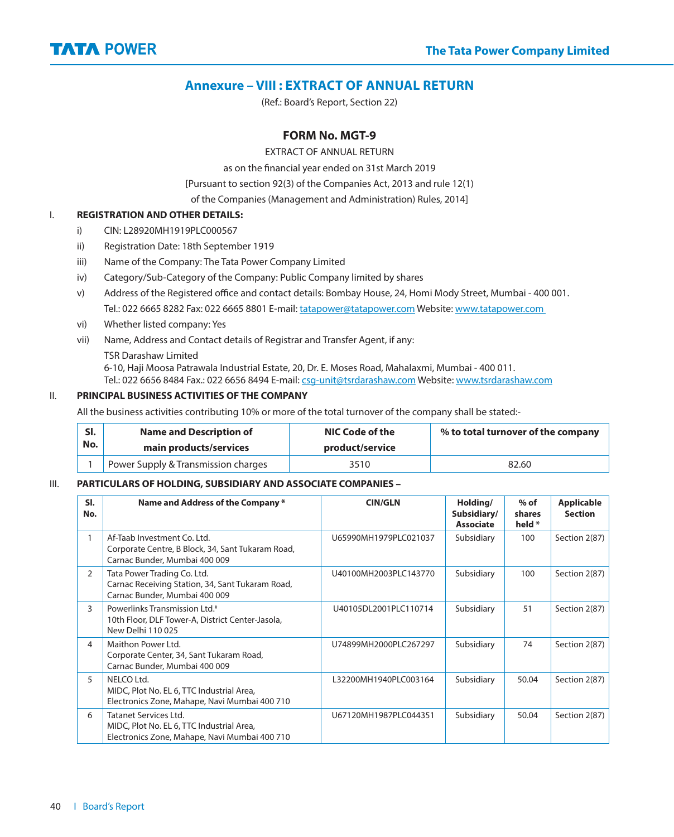

## **Annexure – VIII : EXTRACT OF ANNUAL RETURN**

(Ref.: Board's Report, Section 22)

#### **FORM No. MGT-9**

EXTRACT OF ANNUAL RETURN

as on the financial vear ended on 31st March 2019

[Pursuant to section 92(3) of the Companies Act, 2013 and rule 12(1)

of the Companies (Management and Administration) Rules, 2014]

#### I. **REGISTRATION AND OTHER DETAILS:**

- i) CIN: L28920MH1919PLC000567
- ii) Registration Date: 18th September 1919
- iii) Name of the Company: The Tata Power Company Limited
- iv) Category/Sub-Category of the Company: Public Company limited by shares
- v) Address of the Registered office and contact details: Bombay House, 24, Homi Mody Street, Mumbai 400 001. Tel.: 022 6665 8282 Fax: 022 6665 8801 E-mail: tatapower@tatapower.com Website: www.tatapower.com
- vi) Whether listed company: Yes
- vii) Name, Address and Contact details of Registrar and Transfer Agent, if any:
	- TSR Darashaw Limited

6-10, Haji Moosa Patrawala Industrial Estate, 20, Dr. E. Moses Road, Mahalaxmi, Mumbai - 400 011.

Tel.: 022 6656 8484 Fax.: 022 6656 8494 E-mail: csq-unit@tsrdarashaw.com Website: www.tsrdarashaw.com

#### II. **PRINCIPAL BUSINESS ACTIVITIES OF THE COMPANY**

All the business activities contributing 10% or more of the total turnover of the company shall be stated:-

| SI. | <b>Name and Description of</b>      | NIC Code of the | % to total turnover of the company |
|-----|-------------------------------------|-----------------|------------------------------------|
| No. | main products/services              | product/service |                                    |
|     | Power Supply & Transmission charges | 3510            | 82.60                              |

#### III. **PARTICULARS OF HOLDING, SUBSIDIARY AND ASSOCIATE COMPANIES –**

| SI.<br>No.     | Name and Address of the Company*                                                                                           | <b>CIN/GLN</b>        | Holding/<br>Subsidiary/<br><b>Associate</b> | $%$ of<br>shares<br>held * | <b>Applicable</b><br><b>Section</b> |
|----------------|----------------------------------------------------------------------------------------------------------------------------|-----------------------|---------------------------------------------|----------------------------|-------------------------------------|
|                | Af-Taab Investment Co. Ltd.<br>Corporate Centre, B Block, 34, Sant Tukaram Road,<br>Carnac Bunder, Mumbai 400 009          | U65990MH1979PLC021037 | Subsidiary                                  | 100                        | Section 2(87)                       |
| $\overline{2}$ | Tata Power Trading Co. Ltd.<br>Carnac Receiving Station, 34, Sant Tukaram Road,<br>Carnac Bunder, Mumbai 400 009           | U40100MH2003PLC143770 | Subsidiary                                  | 100                        | Section 2(87)                       |
| $\mathsf{R}$   | Powerlinks Transmission Ltd. <sup>#</sup><br>10th Floor, DLF Tower-A, District Center-Jasola,<br>New Delhi 110025          | U40105DL2001PLC110714 | Subsidiary                                  | 51                         | Section 2(87)                       |
| 4              | Maithon Power Ltd.<br>Corporate Center, 34, Sant Tukaram Road,<br>Carnac Bunder, Mumbai 400 009                            | U74899MH2000PLC267297 | Subsidiary                                  | 74                         | Section 2(87)                       |
| 5              | NELCO Ltd.<br>MIDC, Plot No. EL 6, TTC Industrial Area,<br>Electronics Zone, Mahape, Navi Mumbai 400 710                   | L32200MH1940PLC003164 | Subsidiary                                  | 50.04                      | Section 2(87)                       |
| 6              | <b>Tatanet Services Ltd.</b><br>MIDC, Plot No. EL 6, TTC Industrial Area,<br>Electronics Zone, Mahape, Navi Mumbai 400 710 | U67120MH1987PLC044351 | Subsidiary                                  | 50.04                      | Section 2(87)                       |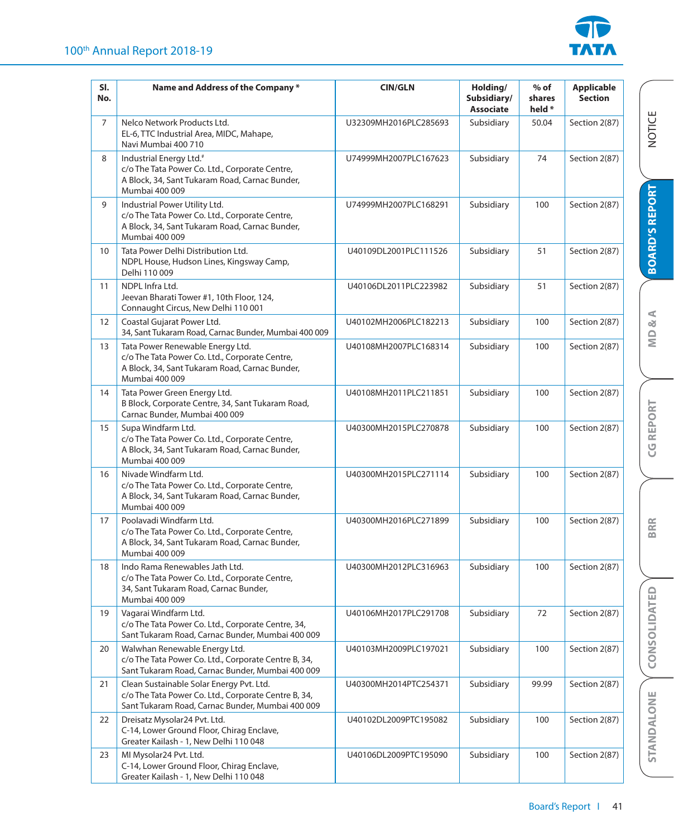

| SI.<br>No. | Name and Address of the Company *                                                                                                                         | <b>CIN/GLN</b>        | Holding/<br>Subsidiary/<br><b>Associate</b> | $%$ of<br>shares<br>held * | <b>Applicable</b><br><b>Section</b> |                       |
|------------|-----------------------------------------------------------------------------------------------------------------------------------------------------------|-----------------------|---------------------------------------------|----------------------------|-------------------------------------|-----------------------|
| 7          | Nelco Network Products Ltd.<br>EL-6, TTC Industrial Area, MIDC, Mahape,<br>Navi Mumbai 400 710                                                            | U32309MH2016PLC285693 | Subsidiary                                  | 50.04                      | Section 2(87)                       | <b>NOTICE</b>         |
| 8          | Industrial Energy Ltd. <sup>#</sup><br>c/o The Tata Power Co. Ltd., Corporate Centre,<br>A Block, 34, Sant Tukaram Road, Carnac Bunder,<br>Mumbai 400 009 | U74999MH2007PLC167623 | Subsidiary                                  | 74                         | Section 2(87)                       |                       |
| 9          | Industrial Power Utility Ltd.<br>c/o The Tata Power Co. Ltd., Corporate Centre,<br>A Block, 34, Sant Tukaram Road, Carnac Bunder,<br>Mumbai 400 009       | U74999MH2007PLC168291 | Subsidiary                                  | 100                        | Section 2(87)                       | <b>BOARD'S REPORT</b> |
| 10         | Tata Power Delhi Distribution Ltd.<br>NDPL House, Hudson Lines, Kingsway Camp,<br>Delhi 110 009                                                           | U40109DL2001PLC111526 | Subsidiary                                  | 51                         | Section 2(87)                       |                       |
| 11         | NDPL Infra Ltd.<br>Jeevan Bharati Tower #1, 10th Floor, 124,<br>Connaught Circus, New Delhi 110 001                                                       | U40106DL2011PLC223982 | Subsidiary                                  | 51                         | Section 2(87)                       |                       |
| 12         | Coastal Gujarat Power Ltd.<br>34, Sant Tukaram Road, Carnac Bunder, Mumbai 400 009                                                                        | U40102MH2006PLC182213 | Subsidiary                                  | 100                        | Section 2(87)                       | $\&$ A                |
| 13         | Tata Power Renewable Energy Ltd.<br>c/o The Tata Power Co. Ltd., Corporate Centre,<br>A Block, 34, Sant Tukaram Road, Carnac Bunder,<br>Mumbai 400 009    | U40108MH2007PLC168314 | Subsidiary                                  | 100                        | Section 2(87)                       | $\overline{M}$        |
| 14         | Tata Power Green Energy Ltd.<br>B Block, Corporate Centre, 34, Sant Tukaram Road,<br>Carnac Bunder, Mumbai 400 009                                        | U40108MH2011PLC211851 | Subsidiary                                  | 100                        | Section 2(87)                       |                       |
| 15         | Supa Windfarm Ltd.<br>c/o The Tata Power Co. Ltd., Corporate Centre,<br>A Block, 34, Sant Tukaram Road, Carnac Bunder,<br>Mumbai 400 009                  | U40300MH2015PLC270878 | Subsidiary                                  | 100                        | Section 2(87)                       | REPORT<br>ပ္ပ         |
| 16         | Nivade Windfarm Ltd.<br>c/o The Tata Power Co. Ltd., Corporate Centre,<br>A Block, 34, Sant Tukaram Road, Carnac Bunder,<br>Mumbai 400 009                | U40300MH2015PLC271114 | Subsidiary                                  | 100                        | Section 2(87)                       |                       |
| 17         | Poolavadi Windfarm Ltd.<br>c/o The Tata Power Co. Ltd., Corporate Centre,<br>A Block, 34, Sant Tukaram Road, Carnac Bunder,<br>Mumbai 400 009             | U40300MH2016PLC271899 | Subsidiary                                  | 100                        | Section 2(87)                       | <b>BRR</b>            |
| 18         | Indo Rama Renewables Jath Ltd.<br>c/o The Tata Power Co. Ltd., Corporate Centre,<br>34, Sant Tukaram Road, Carnac Bunder,<br>Mumbai 400 009               | U40300MH2012PLC316963 | Subsidiary                                  | 100                        | Section 2(87)                       |                       |
| 19         | Vagarai Windfarm Ltd.<br>c/o The Tata Power Co. Ltd., Corporate Centre, 34,<br>Sant Tukaram Road, Carnac Bunder, Mumbai 400 009                           | U40106MH2017PLC291708 | Subsidiary                                  | 72                         | Section 2(87)                       | CONSOLIDATED          |
| 20         | Walwhan Renewable Energy Ltd.<br>c/o The Tata Power Co. Ltd., Corporate Centre B, 34,<br>Sant Tukaram Road, Carnac Bunder, Mumbai 400 009                 | U40103MH2009PLC197021 | Subsidiary                                  | 100                        | Section 2(87)                       |                       |
| 21         | Clean Sustainable Solar Energy Pvt. Ltd.<br>c/o The Tata Power Co. Ltd., Corporate Centre B, 34,<br>Sant Tukaram Road, Carnac Bunder, Mumbai 400 009      | U40300MH2014PTC254371 | Subsidiary                                  | 99.99                      | Section 2(87)                       |                       |
| 22         | Dreisatz Mysolar24 Pvt. Ltd.<br>C-14, Lower Ground Floor, Chirag Enclave,<br>Greater Kailash - 1, New Delhi 110 048                                       | U40102DL2009PTC195082 | Subsidiary                                  | 100                        | Section 2(87)                       | STANDALONE            |
| 23         | MI Mysolar24 Pvt. Ltd.<br>C-14, Lower Ground Floor, Chirag Enclave,<br>Greater Kailash - 1, New Delhi 110 048                                             | U40106DL2009PTC195090 | Subsidiary                                  | 100                        | Section 2(87)                       |                       |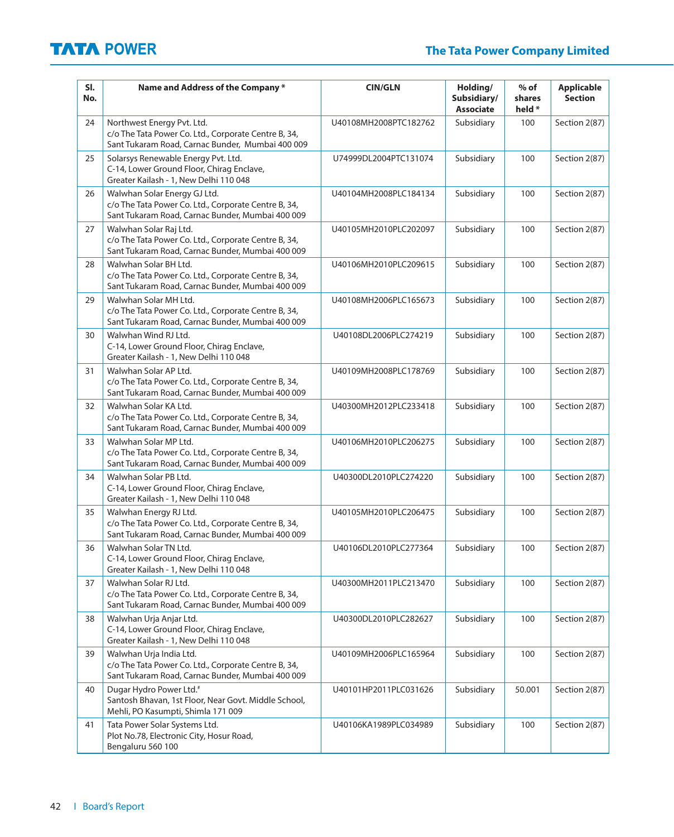| SI.<br>No. | Name and Address of the Company *                                                                                                        | <b>CIN/GLN</b>        | Holding/<br>Subsidiary/<br><b>Associate</b> | $%$ of<br>shares<br>held * | <b>Applicable</b><br><b>Section</b> |
|------------|------------------------------------------------------------------------------------------------------------------------------------------|-----------------------|---------------------------------------------|----------------------------|-------------------------------------|
| 24         | Northwest Energy Pvt. Ltd.<br>c/o The Tata Power Co. Ltd., Corporate Centre B, 34,<br>Sant Tukaram Road, Carnac Bunder, Mumbai 400 009   | U40108MH2008PTC182762 | Subsidiary                                  | 100                        | Section 2(87)                       |
| 25         | Solarsys Renewable Energy Pvt. Ltd.<br>C-14, Lower Ground Floor, Chirag Enclave,<br>Greater Kailash - 1, New Delhi 110 048               | U74999DL2004PTC131074 | Subsidiary                                  | 100                        | Section 2(87)                       |
| 26         | Walwhan Solar Energy GJ Ltd.<br>c/o The Tata Power Co. Ltd., Corporate Centre B, 34,<br>Sant Tukaram Road, Carnac Bunder, Mumbai 400 009 | U40104MH2008PLC184134 | Subsidiary                                  | 100                        | Section 2(87)                       |
| 27         | Walwhan Solar Raj Ltd.<br>c/o The Tata Power Co. Ltd., Corporate Centre B, 34,<br>Sant Tukaram Road, Carnac Bunder, Mumbai 400 009       | U40105MH2010PLC202097 | Subsidiary                                  | 100                        | Section 2(87)                       |
| 28         | Walwhan Solar BH Ltd.<br>c/o The Tata Power Co. Ltd., Corporate Centre B, 34,<br>Sant Tukaram Road, Carnac Bunder, Mumbai 400 009        | U40106MH2010PLC209615 | Subsidiary                                  | 100                        | Section 2(87)                       |
| 29         | Walwhan Solar MH Ltd.<br>c/o The Tata Power Co. Ltd., Corporate Centre B, 34,<br>Sant Tukaram Road, Carnac Bunder, Mumbai 400 009        | U40108MH2006PLC165673 | Subsidiary                                  | 100                        | Section 2(87)                       |
| 30         | Walwhan Wind RJ Ltd.<br>C-14, Lower Ground Floor, Chirag Enclave,<br>Greater Kailash - 1, New Delhi 110 048                              | U40108DL2006PLC274219 | Subsidiary                                  | 100                        | Section 2(87)                       |
| 31         | Walwhan Solar AP Ltd.<br>c/o The Tata Power Co. Ltd., Corporate Centre B, 34,<br>Sant Tukaram Road, Carnac Bunder, Mumbai 400 009        | U40109MH2008PLC178769 | Subsidiary                                  | 100                        | Section 2(87)                       |
| 32         | Walwhan Solar KA Ltd.<br>c/o The Tata Power Co. Ltd., Corporate Centre B, 34,<br>Sant Tukaram Road, Carnac Bunder, Mumbai 400 009        | U40300MH2012PLC233418 | Subsidiary                                  | 100                        | Section 2(87)                       |
| 33         | Walwhan Solar MP Ltd.<br>c/o The Tata Power Co. Ltd., Corporate Centre B, 34,<br>Sant Tukaram Road, Carnac Bunder, Mumbai 400 009        | U40106MH2010PLC206275 | Subsidiary                                  | 100                        | Section 2(87)                       |
| 34         | Walwhan Solar PB Ltd.<br>C-14, Lower Ground Floor, Chirag Enclave,<br>Greater Kailash - 1, New Delhi 110 048                             | U40300DL2010PLC274220 | Subsidiary                                  | 100                        | Section 2(87)                       |
| 35         | Walwhan Energy RJ Ltd.<br>c/o The Tata Power Co. Ltd., Corporate Centre B, 34,<br>Sant Tukaram Road, Carnac Bunder, Mumbai 400 009       | U40105MH2010PLC206475 | Subsidiary                                  | 100                        | Section 2(87)                       |
| 36         | Walwhan Solar TN Ltd.<br>C-14, Lower Ground Floor, Chirag Enclave,<br>Greater Kailash - 1, New Delhi 110 048                             | U40106DL2010PLC277364 | Subsidiary                                  | 100                        | Section 2(87)                       |
| 37         | Walwhan Solar RJ Ltd.<br>c/o The Tata Power Co. Ltd., Corporate Centre B, 34,<br>Sant Tukaram Road, Carnac Bunder, Mumbai 400 009        | U40300MH2011PLC213470 | Subsidiary                                  | 100                        | Section 2(87)                       |
| 38         | Walwhan Urja Anjar Ltd.<br>C-14, Lower Ground Floor, Chirag Enclave,<br>Greater Kailash - 1, New Delhi 110 048                           | U40300DL2010PLC282627 | Subsidiary                                  | 100                        | Section 2(87)                       |
| 39         | Walwhan Urja India Ltd.<br>c/o The Tata Power Co. Ltd., Corporate Centre B, 34,<br>Sant Tukaram Road, Carnac Bunder, Mumbai 400 009      | U40109MH2006PLC165964 | Subsidiary                                  | 100                        | Section 2(87)                       |
| 40         | Dugar Hydro Power Ltd. <sup>#</sup><br>Santosh Bhavan, 1st Floor, Near Govt. Middle School,<br>Mehli, PO Kasumpti, Shimla 171 009        | U40101HP2011PLC031626 | Subsidiary                                  | 50.001                     | Section 2(87)                       |
| 41         | Tata Power Solar Systems Ltd.<br>Plot No.78, Electronic City, Hosur Road,<br>Bengaluru 560 100                                           | U40106KA1989PLC034989 | Subsidiary                                  | 100                        | Section 2(87)                       |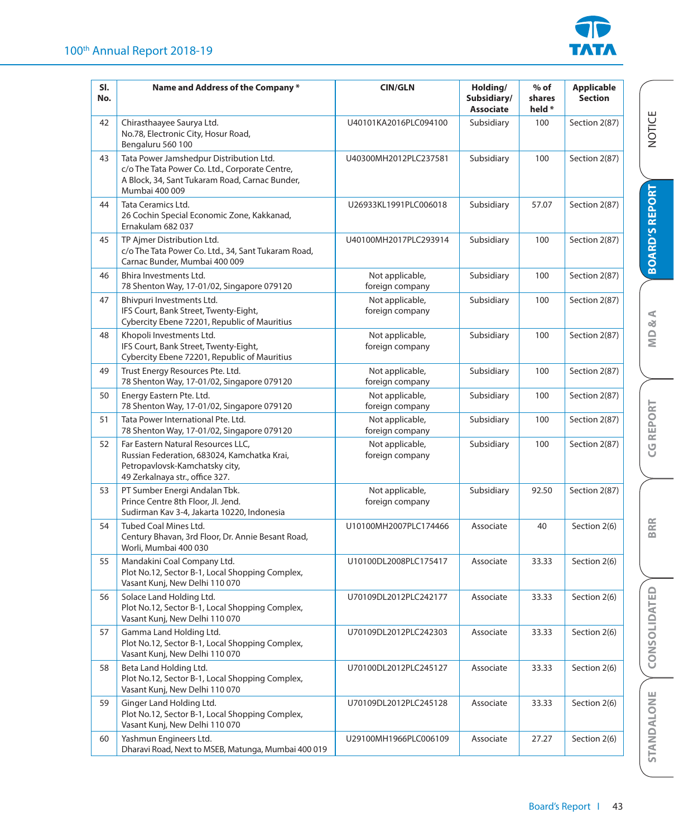

| SI.<br>No. | Name and Address of the Company *                                                                                                                             | <b>CIN/GLN</b>                     | Holding/<br>Subsidiary/<br><b>Associate</b> | $%$ of<br>shares<br>held * | <b>Applicable</b><br><b>Section</b> |                       |
|------------|---------------------------------------------------------------------------------------------------------------------------------------------------------------|------------------------------------|---------------------------------------------|----------------------------|-------------------------------------|-----------------------|
| 42         | Chirasthaayee Saurya Ltd.<br>No.78, Electronic City, Hosur Road,<br>Bengaluru 560 100                                                                         | U40101KA2016PLC094100              | Subsidiary                                  | 100                        | Section 2(87)                       | <b>NOTICE</b>         |
| 43         | Tata Power Jamshedpur Distribution Ltd.<br>c/o The Tata Power Co. Ltd., Corporate Centre,<br>A Block, 34, Sant Tukaram Road, Carnac Bunder,<br>Mumbai 400 009 | U40300MH2012PLC237581              | Subsidiary                                  | 100                        | Section 2(87)                       |                       |
| 44         | Tata Ceramics Ltd.<br>26 Cochin Special Economic Zone, Kakkanad,<br>Ernakulam 682 037                                                                         | U26933KL1991PLC006018              | Subsidiary                                  | 57.07                      | Section 2(87)                       | <b>BOARD'S REPORT</b> |
| 45         | TP Ajmer Distribution Ltd.<br>c/o The Tata Power Co. Ltd., 34, Sant Tukaram Road,<br>Carnac Bunder, Mumbai 400 009                                            | U40100MH2017PLC293914              | Subsidiary                                  | 100                        | Section 2(87)                       |                       |
| 46         | Bhira Investments Ltd.<br>78 Shenton Way, 17-01/02, Singapore 079120                                                                                          | Not applicable,<br>foreign company | Subsidiary                                  | 100                        | Section 2(87)                       |                       |
| 47         | Bhivpuri Investments Ltd.<br>IFS Court, Bank Street, Twenty-Eight,<br>Cybercity Ebene 72201, Republic of Mauritius                                            | Not applicable,<br>foreign company | Subsidiary                                  | 100                        | Section 2(87)                       | $\alpha$ A            |
| 48         | Khopoli Investments Ltd.<br>IFS Court, Bank Street, Twenty-Eight,<br>Cybercity Ebene 72201, Republic of Mauritius                                             | Not applicable,<br>foreign company | Subsidiary                                  | 100                        | Section 2(87)                       | $\subseteq$           |
| 49         | Trust Energy Resources Pte. Ltd.<br>78 Shenton Way, 17-01/02, Singapore 079120                                                                                | Not applicable,<br>foreign company | Subsidiary                                  | 100                        | Section 2(87)                       |                       |
| 50         | Energy Eastern Pte. Ltd.<br>78 Shenton Way, 17-01/02, Singapore 079120                                                                                        | Not applicable,<br>foreign company | Subsidiary                                  | 100                        | Section 2(87)                       |                       |
| 51         | Tata Power International Pte. Ltd.<br>78 Shenton Way, 17-01/02, Singapore 079120                                                                              | Not applicable,<br>foreign company | Subsidiary                                  | 100                        | Section 2(87)                       | <b>CGREPORT</b>       |
| 52         | Far Eastern Natural Resources LLC,<br>Russian Federation, 683024, Kamchatka Krai,<br>Petropavlovsk-Kamchatsky city,<br>49 Zerkalnaya str., office 327.        | Not applicable,<br>foreign company | Subsidiary                                  | 100                        | Section 2(87)                       |                       |
| 53         | PT Sumber Energi Andalan Tbk.<br>Prince Centre 8th Floor, Jl. Jend.<br>Sudirman Kav 3-4, Jakarta 10220, Indonesia                                             | Not applicable,<br>foreign company | Subsidiary                                  | 92.50                      | Section 2(87)                       |                       |
| 54         | Tubed Coal Mines Ltd.<br>Century Bhavan, 3rd Floor, Dr. Annie Besant Road,<br>Worli, Mumbai 400 030                                                           | U10100MH2007PLC174466              | Associate                                   | 40                         | Section 2(6)                        | <b>BRR</b>            |
| 55         | Mandakini Coal Company Ltd.<br>Plot No.12, Sector B-1, Local Shopping Complex,<br>Vasant Kunj, New Delhi 110 070                                              | U10100DL2008PLC175417              | Associate                                   | 33.33                      | Section 2(6)                        |                       |
| 56         | Solace Land Holding Ltd.<br>Plot No.12, Sector B-1, Local Shopping Complex,<br>Vasant Kunj, New Delhi 110 070                                                 | U70109DL2012PLC242177              | Associate                                   | 33.33                      | Section 2(6)                        |                       |
| 57         | Gamma Land Holding Ltd.<br>Plot No.12, Sector B-1, Local Shopping Complex,<br>Vasant Kunj, New Delhi 110 070                                                  | U70109DL2012PLC242303              | Associate                                   | 33.33                      | Section 2(6)                        | CONSOLIDATED          |
| 58         | Beta Land Holding Ltd.<br>Plot No.12, Sector B-1, Local Shopping Complex,<br>Vasant Kunj, New Delhi 110 070                                                   | U70100DL2012PLC245127              | Associate                                   | 33.33                      | Section 2(6)                        |                       |
| 59         | Ginger Land Holding Ltd.<br>Plot No.12, Sector B-1, Local Shopping Complex,<br>Vasant Kunj, New Delhi 110 070                                                 | U70109DL2012PLC245128              | Associate                                   | 33.33                      | Section 2(6)                        | STANDALONE            |
| 60         | Yashmun Engineers Ltd.<br>Dharavi Road, Next to MSEB, Matunga, Mumbai 400 019                                                                                 | U29100MH1966PLC006109              | Associate                                   | 27.27                      | Section 2(6)                        |                       |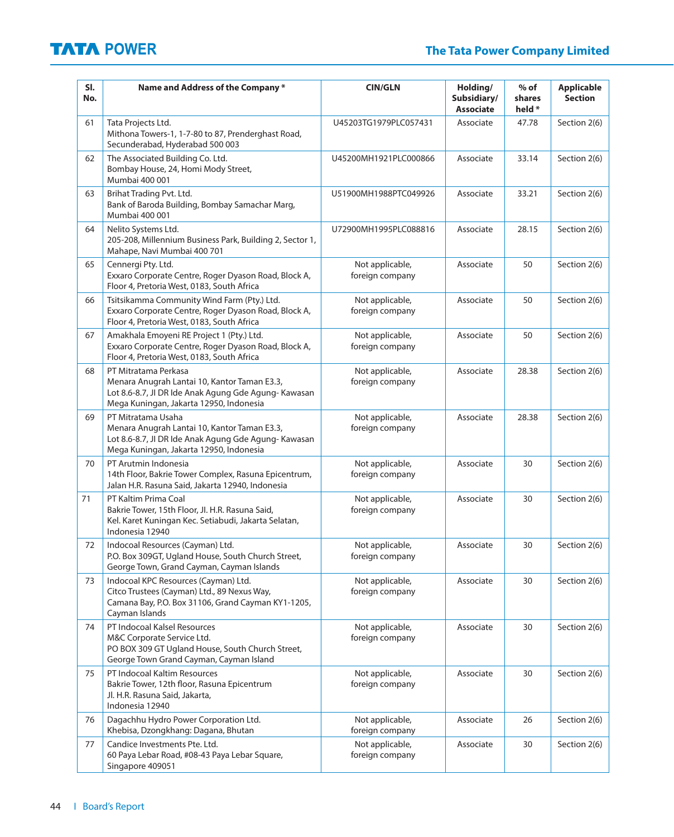| SI.<br>No. | Name and Address of the Company*                                                                                                                                       | <b>CIN/GLN</b>                     | Holding/<br>Subsidiary/<br><b>Associate</b> | $%$ of<br>shares<br>held * | <b>Applicable</b><br><b>Section</b> |
|------------|------------------------------------------------------------------------------------------------------------------------------------------------------------------------|------------------------------------|---------------------------------------------|----------------------------|-------------------------------------|
| 61         | Tata Projects Ltd.<br>Mithona Towers-1, 1-7-80 to 87, Prenderghast Road,<br>Secunderabad, Hyderabad 500 003                                                            | U45203TG1979PLC057431              | Associate                                   | 47.78                      | Section 2(6)                        |
| 62         | The Associated Building Co. Ltd.<br>Bombay House, 24, Homi Mody Street,<br>Mumbai 400 001                                                                              | U45200MH1921PLC000866              | Associate                                   | 33.14                      | Section 2(6)                        |
| 63         | Brihat Trading Pvt. Ltd.<br>Bank of Baroda Building, Bombay Samachar Marg,<br>Mumbai 400 001                                                                           | U51900MH1988PTC049926              | Associate                                   | 33.21                      | Section 2(6)                        |
| 64         | Nelito Systems Ltd.<br>205-208, Millennium Business Park, Building 2, Sector 1,<br>Mahape, Navi Mumbai 400 701                                                         | U72900MH1995PLC088816              | Associate                                   | 28.15                      | Section 2(6)                        |
| 65         | Cennergi Pty. Ltd.<br>Exxaro Corporate Centre, Roger Dyason Road, Block A,<br>Floor 4, Pretoria West, 0183, South Africa                                               | Not applicable,<br>foreign company | Associate                                   | 50                         | Section 2(6)                        |
| 66         | Tsitsikamma Community Wind Farm (Pty.) Ltd.<br>Exxaro Corporate Centre, Roger Dyason Road, Block A,<br>Floor 4, Pretoria West, 0183, South Africa                      | Not applicable,<br>foreign company | Associate                                   | 50                         | Section 2(6)                        |
| 67         | Amakhala Emoyeni RE Project 1 (Pty.) Ltd.<br>Exxaro Corporate Centre, Roger Dyason Road, Block A,<br>Floor 4, Pretoria West, 0183, South Africa                        | Not applicable,<br>foreign company | Associate                                   | 50                         | Section 2(6)                        |
| 68         | PT Mitratama Perkasa<br>Menara Anugrah Lantai 10, Kantor Taman E3.3,<br>Lot 8.6-8.7, JI DR Ide Anak Agung Gde Agung-Kawasan<br>Mega Kuningan, Jakarta 12950, Indonesia | Not applicable,<br>foreign company | Associate                                   | 28.38                      | Section 2(6)                        |
| 69         | PT Mitratama Usaha<br>Menara Anugrah Lantai 10, Kantor Taman E3.3,<br>Lot 8.6-8.7, JI DR Ide Anak Agung Gde Agung-Kawasan<br>Mega Kuningan, Jakarta 12950, Indonesia   | Not applicable,<br>foreign company | Associate                                   | 28.38                      | Section 2(6)                        |
| 70         | PT Arutmin Indonesia<br>14th Floor, Bakrie Tower Complex, Rasuna Epicentrum,<br>Jalan H.R. Rasuna Said, Jakarta 12940, Indonesia                                       | Not applicable,<br>foreign company | Associate                                   | 30                         | Section 2(6)                        |
| 71         | PT Kaltim Prima Coal<br>Bakrie Tower, 15th Floor, Jl. H.R. Rasuna Said,<br>Kel. Karet Kuningan Kec. Setiabudi, Jakarta Selatan,<br>Indonesia 12940                     | Not applicable,<br>foreign company | Associate                                   | 30                         | Section 2(6)                        |
| 72         | Indocoal Resources (Cayman) Ltd.<br>P.O. Box 309GT, Ugland House, South Church Street,<br>George Town, Grand Cayman, Cayman Islands                                    | Not applicable,<br>foreign company | Associate                                   | 30                         | Section 2(6)                        |
| 73         | Indocoal KPC Resources (Cayman) Ltd.<br>Citco Trustees (Cayman) Ltd., 89 Nexus Way,<br>Camana Bay, P.O. Box 31106, Grand Cayman KY1-1205,<br>Cayman Islands            | Not applicable,<br>foreign company | Associate                                   | 30                         | Section 2(6)                        |
| 74         | PT Indocoal Kalsel Resources<br>M&C Corporate Service Ltd.<br>PO BOX 309 GT Ugland House, South Church Street,<br>George Town Grand Cayman, Cayman Island              | Not applicable,<br>foreign company | Associate                                   | 30                         | Section 2(6)                        |
| 75         | PT Indocoal Kaltim Resources<br>Bakrie Tower, 12th floor, Rasuna Epicentrum<br>Jl. H.R. Rasuna Said, Jakarta,<br>Indonesia 12940                                       | Not applicable,<br>foreign company | Associate                                   | 30                         | Section 2(6)                        |
| 76         | Dagachhu Hydro Power Corporation Ltd.<br>Khebisa, Dzongkhang: Dagana, Bhutan                                                                                           | Not applicable,<br>foreign company | Associate                                   | 26                         | Section 2(6)                        |
| 77         | Candice Investments Pte. Ltd.<br>60 Paya Lebar Road, #08-43 Paya Lebar Square,<br>Singapore 409051                                                                     | Not applicable,<br>foreign company | Associate                                   | 30                         | Section 2(6)                        |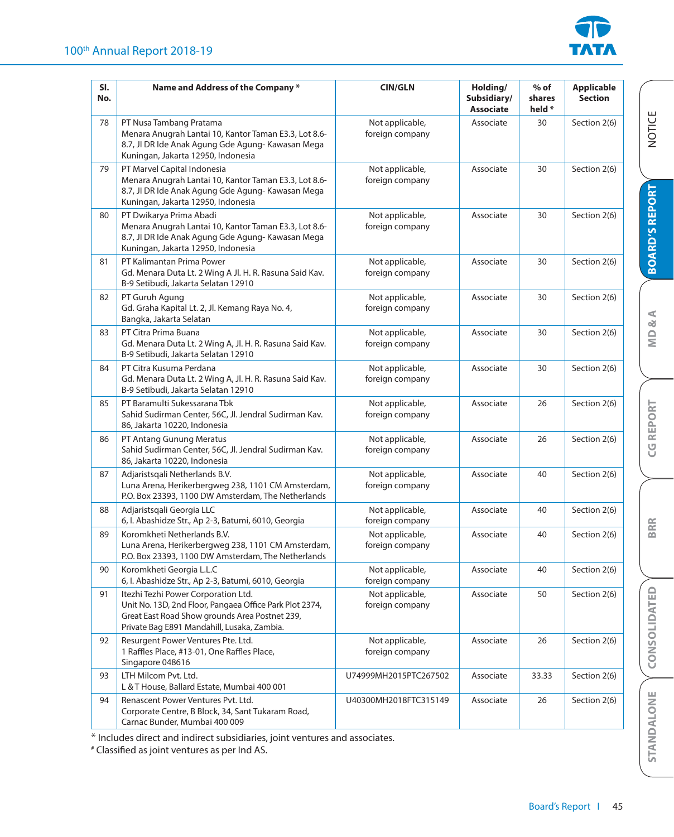

| SI.<br>No. | Name and Address of the Company *                                                                                                                                                               | <b>CIN/GLN</b>                     | Holding/<br>Subsidiary/<br><b>Associate</b> | $%$ of<br>shares<br>held * | <b>Applicable</b><br><b>Section</b> |
|------------|-------------------------------------------------------------------------------------------------------------------------------------------------------------------------------------------------|------------------------------------|---------------------------------------------|----------------------------|-------------------------------------|
| 78         | PT Nusa Tambang Pratama<br>Menara Anugrah Lantai 10, Kantor Taman E3.3, Lot 8.6-<br>8.7, JI DR Ide Anak Agung Gde Agung-Kawasan Mega<br>Kuningan, Jakarta 12950, Indonesia                      | Not applicable,<br>foreign company | Associate                                   | 30                         | Section 2(6)                        |
| 79         | PT Marvel Capital Indonesia<br>Menara Anugrah Lantai 10, Kantor Taman E3.3, Lot 8.6-<br>8.7, Jl DR Ide Anak Agung Gde Agung-Kawasan Mega<br>Kuningan, Jakarta 12950, Indonesia                  | Not applicable,<br>foreign company | Associate                                   | 30                         | Section 2(6)                        |
| 80         | PT Dwikarya Prima Abadi<br>Menara Anugrah Lantai 10, Kantor Taman E3.3, Lot 8.6-<br>8.7, Jl DR Ide Anak Agung Gde Agung-Kawasan Mega<br>Kuningan, Jakarta 12950, Indonesia                      | Not applicable,<br>foreign company | Associate                                   | 30                         | Section 2(6)                        |
| 81         | PT Kalimantan Prima Power<br>Gd. Menara Duta Lt. 2 Wing A Jl. H. R. Rasuna Said Kav.<br>B-9 Setibudi, Jakarta Selatan 12910                                                                     | Not applicable,<br>foreign company | Associate                                   | 30                         | Section 2(6)                        |
| 82         | PT Guruh Agung<br>Gd. Graha Kapital Lt. 2, Jl. Kemang Raya No. 4,<br>Bangka, Jakarta Selatan                                                                                                    | Not applicable,<br>foreign company | Associate                                   | 30                         | Section 2(6)                        |
| 83         | PT Citra Prima Buana<br>Gd. Menara Duta Lt. 2 Wing A, Jl. H. R. Rasuna Said Kav.<br>B-9 Setibudi, Jakarta Selatan 12910                                                                         | Not applicable,<br>foreign company | Associate                                   | 30                         | Section 2(6)                        |
| 84         | PT Citra Kusuma Perdana<br>Gd. Menara Duta Lt. 2 Wing A, Jl. H. R. Rasuna Said Kav.<br>B-9 Setibudi, Jakarta Selatan 12910                                                                      | Not applicable,<br>foreign company | Associate                                   | 30                         | Section 2(6)                        |
| 85         | PT Baramulti Sukessarana Tbk<br>Sahid Sudirman Center, 56C, Jl. Jendral Sudirman Kav.<br>86, Jakarta 10220, Indonesia                                                                           | Not applicable,<br>foreign company | Associate                                   | 26                         | Section 2(6)                        |
| 86         | PT Antang Gunung Meratus<br>Sahid Sudirman Center, 56C, Jl. Jendral Sudirman Kav.<br>86, Jakarta 10220, Indonesia                                                                               | Not applicable,<br>foreign company | Associate                                   | 26                         | Section 2(6)                        |
| 87         | Adjaristsqali Netherlands B.V.<br>Luna Arena, Herikerbergweg 238, 1101 CM Amsterdam,<br>P.O. Box 23393, 1100 DW Amsterdam, The Netherlands                                                      | Not applicable,<br>foreign company | Associate                                   | 40                         | Section 2(6)                        |
| 88         | Adjaristsgali Georgia LLC<br>6, I. Abashidze Str., Ap 2-3, Batumi, 6010, Georgia                                                                                                                | Not applicable,<br>foreign company | Associate                                   | 40                         | Section 2(6)                        |
| 89         | Koromkheti Netherlands B.V.<br>Luna Arena, Herikerbergweg 238, 1101 CM Amsterdam,<br>P.O. Box 23393, 1100 DW Amsterdam, The Netherlands                                                         | Not applicable,<br>foreign company | Associate                                   | 40                         | Section 2(6)                        |
| 90         | Koromkheti Georgia L.L.C<br>6, I. Abashidze Str., Ap 2-3, Batumi, 6010, Georgia                                                                                                                 | Not applicable,<br>foreign company | Associate                                   | 40                         | Section 2(6)                        |
| 91         | Itezhi Tezhi Power Corporation Ltd.<br>Unit No. 13D, 2nd Floor, Pangaea Office Park Plot 2374,<br>Great East Road Show grounds Area Postnet 239,<br>Private Bag E891 Mandahill, Lusaka, Zambia. | Not applicable,<br>foreign company | Associate                                   | 50                         | Section 2(6)                        |
| 92         | Resurgent Power Ventures Pte. Ltd.<br>1 Raffles Place, #13-01, One Raffles Place,<br>Singapore 048616                                                                                           | Not applicable,<br>foreign company | Associate                                   | 26                         | Section 2(6)                        |
| 93         | LTH Milcom Pvt. Ltd.<br>L & T House, Ballard Estate, Mumbai 400 001                                                                                                                             | U74999MH2015PTC267502              | Associate                                   | 33.33                      | Section 2(6)                        |
| 94         | Renascent Power Ventures Pvt. Ltd.<br>Corporate Centre, B Block, 34, Sant Tukaram Road,<br>Carnac Bunder, Mumbai 400 009                                                                        | U40300MH2018FTC315149              | Associate                                   | 26                         | Section 2(6)                        |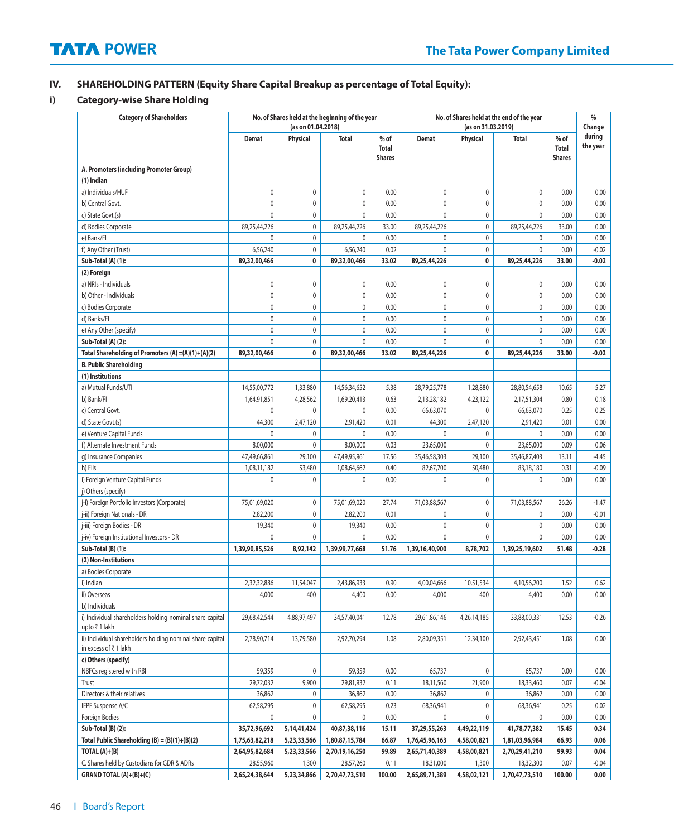## **IV. SHAREHOLDING PATTERN (Equity Share Capital Breakup as percentage of Total Equity):**

### **i) Category-wise Share Holding**

| <b>Category of Shareholders</b>                                                   |                | (as on 01.04.2018) | No. of Shares held at the beginning of the year |                                         | No. of Shares held at the end of the year<br>(as on 31.03.2019) |             |                | %<br>Change                             |                    |
|-----------------------------------------------------------------------------------|----------------|--------------------|-------------------------------------------------|-----------------------------------------|-----------------------------------------------------------------|-------------|----------------|-----------------------------------------|--------------------|
|                                                                                   | <b>Demat</b>   | Physical           | <b>Total</b>                                    | $%$ of<br><b>Total</b><br><b>Shares</b> | <b>Demat</b>                                                    | Physical    | <b>Total</b>   | $%$ of<br><b>Total</b><br><b>Shares</b> | during<br>the year |
| A. Promoters (including Promoter Group)                                           |                |                    |                                                 |                                         |                                                                 |             |                |                                         |                    |
| (1) Indian                                                                        |                |                    |                                                 |                                         |                                                                 |             |                |                                         |                    |
| a) Individuals/HUF                                                                | $\mathbf 0$    | 0                  | 0                                               | 0.00                                    | 0                                                               | $\mathbf 0$ | 0              | 0.00                                    | 0.00               |
| b) Central Govt.                                                                  | $\mathbf 0$    | $\mathbf 0$        | $\mathbf 0$                                     | 0.00                                    | 0                                                               | 0           | 0              | 0.00                                    | 0.00               |
| c) State Govt.(s)                                                                 | $\pmb{0}$      | $\pmb{0}$          | $\pmb{0}$                                       | 0.00                                    | $\pmb{0}$                                                       | $\mathbb O$ | 0              | 0.00                                    | 0.00               |
| d) Bodies Corporate                                                               | 89,25,44,226   | 0                  | 89,25,44,226                                    | 33.00                                   | 89,25,44,226                                                    | $\pmb{0}$   | 89,25,44,226   | 33.00                                   | 0.00               |
| e) Bank/FI                                                                        | 0              | $\mathbf 0$        | $\pmb{0}$                                       | 0.00                                    | 0                                                               | $\mathbb O$ | 0              | 0.00                                    | 0.00               |
| f) Any Other (Trust)                                                              | 6,56,240       | $\mathbf 0$        | 6,56,240                                        | 0.02                                    | 0                                                               | 0           | 0              | 0.00                                    | $-0.02$            |
| Sub-Total (A) (1):                                                                | 89,32,00,466   | 0                  | 89,32,00,466                                    | 33.02                                   | 89,25,44,226                                                    | 0           | 89,25,44,226   | 33.00                                   | $-0.02$            |
| (2) Foreign                                                                       |                |                    |                                                 |                                         |                                                                 |             |                |                                         |                    |
| a) NRIs - Individuals                                                             | 0              | 0                  | 0                                               | 0.00                                    | 0                                                               | 0           | 0              | 0.00                                    | 0.00               |
| b) Other - Individuals                                                            | $\mathbb O$    | $\mathbf 0$        | $\mathbf 0$                                     | 0.00                                    | 0                                                               | $\mathbf 0$ | 0              | 0.00                                    | 0.00               |
| c) Bodies Corporate                                                               | $\pmb{0}$      | $\mathbf 0$        | $\pmb{0}$                                       | 0.00                                    | 0                                                               | $\pmb{0}$   | 0              | 0.00                                    | 0.00               |
| d) Banks/Fl                                                                       | $\mathbf 0$    | 0                  | $\pmb{0}$                                       | 0.00                                    | 0                                                               | $\mathbf 0$ | 0              | 0.00                                    | 0.00               |
| e) Any Other (specify)                                                            | $\mathbf 0$    | $\mathbf 0$        | $\mathbf 0$                                     | 0.00                                    | 0                                                               | $\mathbb O$ | 0              | 0.00                                    | 0.00               |
| Sub-Total (A) (2):                                                                | $\mathbf 0$    | $\mathbf 0$        | $\mathbf 0$                                     | 0.00                                    | 0                                                               | $\pmb{0}$   | 0              | 0.00                                    | 0.00               |
| Total Shareholding of Promoters (A) =(A)(1)+(A)(2)                                | 89,32,00,466   | 0                  | 89,32,00,466                                    | 33.02                                   | 89,25,44,226                                                    | 0           | 89,25,44,226   | 33.00                                   | $-0.02$            |
| <b>B. Public Shareholding</b>                                                     |                |                    |                                                 |                                         |                                                                 |             |                |                                         |                    |
| (1) Institutions                                                                  |                |                    |                                                 |                                         |                                                                 |             |                |                                         |                    |
| a) Mutual Funds/UTI                                                               | 14,55,00,772   | 1,33,880           | 14,56,34,652                                    | 5.38                                    | 28,79,25,778                                                    | 1,28,880    | 28,80,54,658   | 10.65                                   | 5.27               |
| b) Bank/Fl                                                                        | 1,64,91,851    | 4,28,562           | 1,69,20,413                                     | 0.63                                    | 2,13,28,182                                                     | 4,23,122    | 2,17,51,304    | 0.80                                    | 0.18               |
| c) Central Govt.                                                                  | 0              | 0                  | 0                                               | 0.00                                    | 66,63,070                                                       | 0           | 66,63,070      | 0.25                                    | 0.25               |
| d) State Govt.(s)                                                                 | 44,300         | 2,47,120           | 2,91,420                                        | 0.01                                    | 44,300                                                          | 2,47,120    | 2,91,420       | 0.01                                    | 0.00               |
| e) Venture Capital Funds                                                          | 0              | 0                  | 0                                               | 0.00                                    | 0                                                               | 0           | 0              | 0.00                                    | 0.00               |
| f) Alternate Investment Funds                                                     | 8,00,000       | $\pmb{0}$          | 8,00,000                                        | 0.03                                    | 23,65,000                                                       | 0           | 23,65,000      | 0.09                                    | 0.06               |
| g) Insurance Companies                                                            | 47,49,66,861   | 29,100             | 47,49,95,961                                    | 17.56                                   | 35,46,58,303                                                    | 29,100      | 35,46,87,403   | 13.11                                   | $-4.45$            |
| h) Flls                                                                           | 1,08,11,182    | 53,480             | 1,08,64,662                                     | 0.40                                    | 82,67,700                                                       | 50,480      | 83,18,180      | 0.31                                    | $-0.09$            |
| i) Foreign Venture Capital Funds                                                  | $\mathbf 0$    | 0                  | 0                                               | 0.00                                    | 0                                                               | $\mathbf 0$ | 0              | 0.00                                    | 0.00               |
| j) Others (specify)                                                               |                |                    |                                                 |                                         |                                                                 |             |                |                                         |                    |
| j-i) Foreign Portfolio Investors (Corporate)                                      | 75,01,69,020   | $\mathbf 0$        | 75,01,69,020                                    | 27.74                                   | 71,03,88,567                                                    | 0           | 71,03,88,567   | 26.26                                   | $-1.47$            |
| j-ii) Foreign Nationals - DR                                                      | 2,82,200       | 0                  | 2,82,200                                        | 0.01                                    | 0                                                               | 0           | 0              | 0.00                                    | $-0.01$            |
| j-iii) Foreign Bodies - DR                                                        | 19,340         | 0                  | 19,340                                          | 0.00                                    | 0                                                               | $\mathbf 0$ | 0              | 0.00                                    | 0.00               |
| j-iv) Foreign Institutional Investors - DR                                        | $\mathbf 0$    | 0                  | 0                                               | 0.00                                    | 0                                                               | $\mathbf 0$ | 0              | 0.00                                    | 0.00               |
| Sub-Total (B) (1):                                                                | 1,39,90,85,526 | 8,92,142           | 1,39,99,77,668                                  | 51.76                                   | 1,39,16,40,900                                                  | 8,78,702    | 1,39,25,19,602 | 51.48                                   | $-0.28$            |
| (2) Non-Institutions                                                              |                |                    |                                                 |                                         |                                                                 |             |                |                                         |                    |
| a) Bodies Corporate                                                               |                |                    |                                                 |                                         |                                                                 |             |                |                                         |                    |
| i) Indian                                                                         | 2,32,32,886    | 11,54,047          | 2,43,86,933                                     | 0.90                                    | 4,00,04,666                                                     | 10,51,534   | 4,10,56,200    | 1.52                                    | 0.62               |
| ii) Overseas                                                                      | 4,000          | 400                | 4,400                                           | 0.00                                    | 4,000                                                           | 400         | 4,400          | 0.00                                    | 0.00               |
| b) Individuals                                                                    |                |                    |                                                 |                                         |                                                                 |             |                |                                         |                    |
| i) Individual shareholders holding nominal share capital<br>upto ₹1 lakh          | 29,68,42,544   | 4,88,97,497        | 34,57,40,041                                    | 12.78                                   | 29,61,86,146                                                    | 4,26,14,185 | 33,88,00,331   | 12.53                                   | $-0.26$            |
| ii) Individual shareholders holding nominal share capital<br>in excess of ₹1 lakh | 2,78,90,714    | 13,79,580          | 2,92,70,294                                     | 1.08                                    | 2,80,09,351                                                     | 12,34,100   | 2,92,43,451    | 1.08                                    | 0.00               |
| c) Others (specify)                                                               |                |                    |                                                 |                                         |                                                                 |             |                |                                         |                    |
| NBFCs registered with RBI                                                         | 59,359         | 0                  | 59,359                                          | 0.00                                    | 65,737                                                          | 0           | 65,737         | 0.00                                    | 0.00               |
| Trust                                                                             | 29,72,032      | 9,900              | 29,81,932                                       | 0.11                                    | 18,11,560                                                       | 21,900      | 18,33,460      | 0.07                                    | $-0.04$            |
| Directors & their relatives                                                       | 36,862         | 0                  | 36,862                                          | 0.00                                    | 36,862                                                          | 0           | 36,862         | 0.00                                    | 0.00               |
| IEPF Suspense A/C                                                                 | 62,58,295      | 0                  | 62,58,295                                       | 0.23                                    | 68,36,941                                                       | 0           | 68,36,941      | 0.25                                    | 0.02               |
| Foreign Bodies                                                                    | 0              | 0                  | 0                                               | 0.00                                    | 0                                                               | 0           | 0              | 0.00                                    | 0.00               |
| Sub-Total (B) (2):                                                                | 35,72,96,692   | 5,14,41,424        | 40,87,38,116                                    | 15.11                                   | 37,29,55,263                                                    | 4,49,22,119 | 41,78,77,382   | 15.45                                   | 0.34               |
| Total Public Shareholding $(B) = (B)(1)+(B)(2)$                                   | 1,75,63,82,218 | 5,23,33,566        | 1,80,87,15,784                                  | 66.87                                   | 1,76,45,96,163                                                  | 4,58,00,821 | 1,81,03,96,984 | 66.93                                   | 0.06               |
| TOTAL $(A)+(B)$                                                                   | 2,64,95,82,684 | 5,23,33,566        | 2,70,19,16,250                                  | 99.89                                   | 2,65,71,40,389                                                  | 4,58,00,821 | 2,70,29,41,210 | 99.93                                   | 0.04               |
| C. Shares held by Custodians for GDR & ADRs                                       | 28,55,960      | 1,300              | 28,57,260                                       | 0.11                                    | 18,31,000                                                       | 1,300       | 18,32,300      | 0.07                                    | $-0.04$            |
| GRAND TOTAL (A)+(B)+(C)                                                           | 2,65,24,38,644 | 5,23,34,866        | 2,70,47,73,510                                  | 100.00                                  | 2,65,89,71,389                                                  | 4,58,02,121 | 2,70,47,73,510 | 100.00                                  | 0.00               |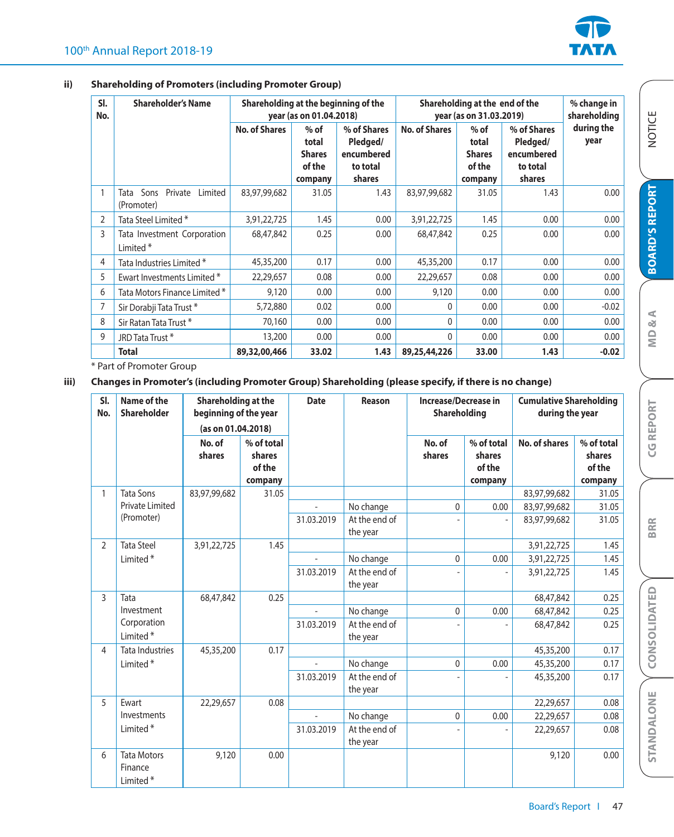

### **ii) Shareholding of Promoters (including Promoter Group)**

| SI.<br>No. | <b>Shareholder's Name</b>                           |                      | Shareholding at the beginning of the<br>year (as on 01.04.2018) |                                                             |                      | Shareholding at the end of the<br>year (as on 31.03.2019) |                                                             |                    |  |
|------------|-----------------------------------------------------|----------------------|-----------------------------------------------------------------|-------------------------------------------------------------|----------------------|-----------------------------------------------------------|-------------------------------------------------------------|--------------------|--|
|            |                                                     | <b>No. of Shares</b> | $%$ of<br>total<br><b>Shares</b><br>of the<br>company           | % of Shares<br>Pledged/<br>encumbered<br>to total<br>shares | <b>No. of Shares</b> | $%$ of<br>total<br><b>Shares</b><br>of the<br>company     | % of Shares<br>Pledged/<br>encumbered<br>to total<br>shares | during the<br>year |  |
|            | Sons<br>Private<br>Limited<br>Tata<br>(Promoter)    | 83,97,99,682         | 31.05                                                           | 1.43                                                        | 83,97,99,682         | 31.05                                                     | 1.43                                                        | 0.00               |  |
| 2          | Tata Steel Limited *                                | 3,91,22,725          | 1.45                                                            | 0.00                                                        | 3,91,22,725          | 1.45                                                      | 0.00                                                        | 0.00               |  |
| 3          | Tata Investment Corporation<br>Limited <sup>*</sup> | 68,47,842            | 0.25                                                            | 0.00                                                        | 68,47,842            | 0.25                                                      | 0.00                                                        | 0.00               |  |
| 4          | Tata Industries Limited *                           | 45,35,200            | 0.17                                                            | 0.00                                                        | 45,35,200            | 0.17                                                      | 0.00                                                        | 0.00               |  |
| 5          | Ewart Investments Limited *                         | 22,29,657            | 0.08                                                            | 0.00                                                        | 22,29,657            | 0.08                                                      | 0.00                                                        | 0.00               |  |
| 6          | Tata Motors Finance Limited *                       | 9,120                | 0.00                                                            | 0.00                                                        | 9,120                | 0.00                                                      | 0.00                                                        | 0.00               |  |
|            | Sir Dorabji Tata Trust*                             | 5,72,880             | 0.02                                                            | 0.00                                                        | $\Omega$             | 0.00                                                      | 0.00                                                        | $-0.02$            |  |
| 8          | Sir Ratan Tata Trust*                               | 70,160               | 0.00                                                            | 0.00                                                        | 0                    | 0.00                                                      | 0.00                                                        | 0.00               |  |
| 9          | JRD Tata Trust *                                    | 13,200               | 0.00                                                            | 0.00                                                        | 0                    | 0.00                                                      | 0.00                                                        | 0.00               |  |
|            | <b>Total</b>                                        | 89,32,00,466         | 33.02                                                           | 1.43                                                        | 89,25,44,226         | 33.00                                                     | 1.43                                                        | $-0.02$            |  |

\* Part of Promoter Group

## **iii) Changes in Promoter's (including Promoter Group) Shareholding (please specify, if there is no change)**

| SI.<br>No.     | Name of the<br><b>Shareholder</b>                     | Shareholding at the<br>beginning of the year<br>(as on 01.04.2018) |                                           | <b>Date</b>               | Reason                    | Increase/Decrease in<br>Shareholding |                                           | <b>Cumulative Shareholding</b><br>during the year |                                           |
|----------------|-------------------------------------------------------|--------------------------------------------------------------------|-------------------------------------------|---------------------------|---------------------------|--------------------------------------|-------------------------------------------|---------------------------------------------------|-------------------------------------------|
|                |                                                       | No. of<br>shares                                                   | % of total<br>shares<br>of the<br>company |                           |                           | No. of<br>shares                     | % of total<br>shares<br>of the<br>company | No. of shares                                     | % of total<br>shares<br>of the<br>company |
| 1              | <b>Tata Sons</b>                                      | 83,97,99,682                                                       | 31.05                                     |                           |                           |                                      |                                           | 83,97,99,682                                      | 31.05                                     |
|                | Private Limited                                       |                                                                    |                                           |                           | No change                 | $\mathbf{0}$                         | 0.00                                      | 83,97,99,682                                      | 31.05                                     |
|                | (Promoter)                                            |                                                                    | 31.03.2019                                | At the end of<br>the year |                           |                                      | 83,97,99,682                              | 31.05                                             |                                           |
| $\overline{2}$ | <b>Tata Steel</b>                                     | 3,91,22,725                                                        | 1.45                                      |                           |                           |                                      |                                           | 3,91,22,725                                       | 1.45                                      |
|                | Limited <sup>*</sup>                                  |                                                                    |                                           |                           | No change                 | $\mathbf{0}$                         | 0.00                                      | 3,91,22,725                                       | 1.45                                      |
|                |                                                       |                                                                    |                                           | 31.03.2019                | At the end of<br>the year |                                      |                                           | 3,91,22,725                                       | 1.45                                      |
| $\overline{3}$ | Tata                                                  | 68,47,842                                                          | 0.25                                      |                           |                           |                                      |                                           | 68,47,842                                         | 0.25                                      |
|                | Investment                                            |                                                                    |                                           |                           | No change                 | $\mathbf{0}$                         | 0.00                                      | 68,47,842                                         | 0.25                                      |
|                | Corporation<br>Limited <sup>*</sup>                   |                                                                    | 31.03.2019                                | At the end of<br>the year |                           |                                      | 68,47,842                                 | 0.25                                              |                                           |
| $\overline{4}$ | <b>Tata Industries</b>                                | 45,35,200                                                          | 0.17                                      |                           |                           |                                      |                                           | 45,35,200                                         | 0.17                                      |
|                | Limited <sup>*</sup>                                  |                                                                    |                                           |                           | No change                 | 0                                    | 0.00                                      | 45,35,200                                         | 0.17                                      |
|                |                                                       |                                                                    |                                           | 31.03.2019                | At the end of<br>the year |                                      |                                           | 45,35,200                                         | 0.17                                      |
| 5              | Ewart                                                 | 22,29,657                                                          | 0.08                                      |                           |                           |                                      |                                           | 22,29,657                                         | 0.08                                      |
|                | Investments                                           |                                                                    |                                           |                           | No change                 | $\mathbf{0}$                         | 0.00                                      | 22,29,657                                         | 0.08                                      |
|                | Limited <sup>*</sup>                                  |                                                                    |                                           | 31.03.2019                | At the end of<br>the year |                                      |                                           | 22,29,657                                         | 0.08                                      |
| 6              | <b>Tata Motors</b><br>Finance<br>Limited <sup>*</sup> | 9,120                                                              | 0.00                                      |                           |                           |                                      |                                           | 9,120                                             | 0.00                                      |

NOTICE

**BRR**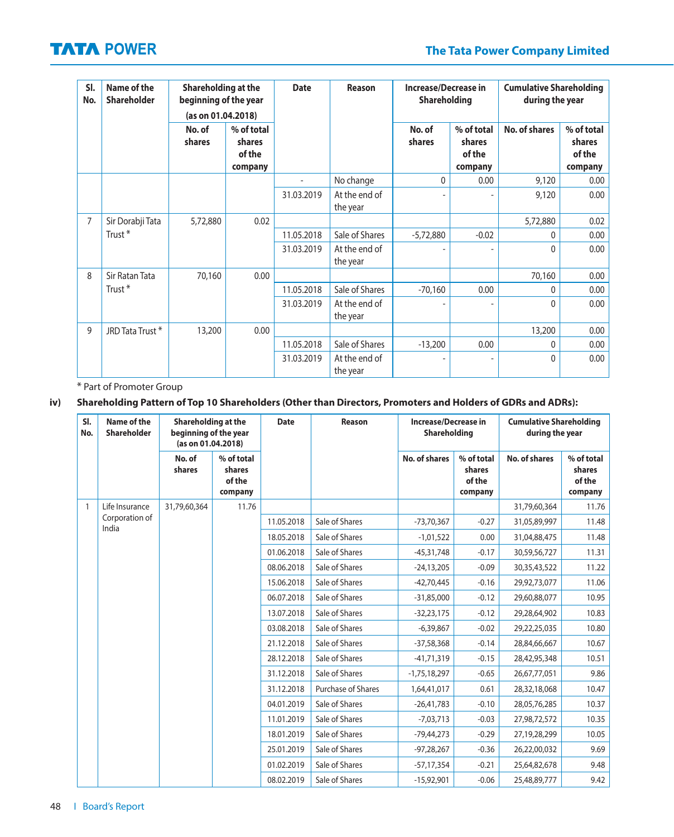| SI.<br>No.     | Name of the<br><b>Shareholder</b> | Shareholding at the<br>beginning of the year<br>(as on 01.04.2018) |                                           | <b>Date</b> | Reason                    |                  | Increase/Decrease in<br><b>Cumulative Shareholding</b><br>Shareholding<br>during the year |               |                                           |
|----------------|-----------------------------------|--------------------------------------------------------------------|-------------------------------------------|-------------|---------------------------|------------------|-------------------------------------------------------------------------------------------|---------------|-------------------------------------------|
|                |                                   | No. of<br>shares                                                   | % of total<br>shares<br>of the<br>company |             |                           | No. of<br>shares | % of total<br>shares<br>of the<br>company                                                 | No. of shares | % of total<br>shares<br>of the<br>company |
|                |                                   |                                                                    |                                           |             | No change                 | $\mathbf{0}$     | 0.00                                                                                      | 9,120         | 0.00                                      |
|                |                                   |                                                                    |                                           | 31.03.2019  | At the end of<br>the year |                  |                                                                                           | 9,120         | 0.00                                      |
| $\overline{7}$ | Sir Dorabji Tata                  | 5,72,880                                                           | 0.02                                      |             |                           |                  |                                                                                           | 5,72,880      | 0.02                                      |
|                | Trust <sup>*</sup>                |                                                                    |                                           | 11.05.2018  | Sale of Shares            | $-5,72,880$      | $-0.02$                                                                                   | 0             | 0.00                                      |
|                |                                   |                                                                    |                                           | 31.03.2019  | At the end of<br>the year |                  |                                                                                           | $\Omega$      | 0.00                                      |
| 8              | Sir Ratan Tata                    | 70,160                                                             | 0.00                                      |             |                           |                  |                                                                                           | 70,160        | 0.00                                      |
|                | Trust <sup>*</sup>                |                                                                    |                                           | 11.05.2018  | Sale of Shares            | $-70,160$        | 0.00                                                                                      | $\Omega$      | 0.00                                      |
|                |                                   |                                                                    |                                           | 31.03.2019  | At the end of<br>the year |                  |                                                                                           | $\Omega$      | 0.00                                      |
| 9              | JRD Tata Trust *                  | 13,200                                                             | 0.00                                      |             |                           |                  |                                                                                           | 13,200        | 0.00                                      |
|                |                                   |                                                                    |                                           | 11.05.2018  | Sale of Shares            | $-13,200$        | 0.00                                                                                      | $\Omega$      | 0.00                                      |
|                |                                   |                                                                    |                                           | 31.03.2019  | At the end of<br>the year |                  |                                                                                           | $\Omega$      | 0.00                                      |

\* Part of Promoter Group

## **iv) Shareholding Pattern of Top 10 Shareholders (Other than Directors, Promoters and Holders of GDRs and ADRs):**

| SI.<br>No. | Name of the<br><b>Shareholder</b> | Shareholding at the<br>beginning of the year<br>(as on 01.04.2018) |                                           | <b>Date</b><br>Reason | <b>Increase/Decrease in</b><br>Shareholding |                      | <b>Cumulative Shareholding</b><br>during the year |                      |                                           |
|------------|-----------------------------------|--------------------------------------------------------------------|-------------------------------------------|-----------------------|---------------------------------------------|----------------------|---------------------------------------------------|----------------------|-------------------------------------------|
|            |                                   | No. of<br>shares                                                   | % of total<br>shares<br>of the<br>company |                       |                                             | <b>No. of shares</b> | % of total<br>shares<br>of the<br>company         | <b>No. of shares</b> | % of total<br>shares<br>of the<br>company |
| 1          | Life Insurance                    | 31,79,60,364                                                       | 11.76                                     |                       |                                             |                      |                                                   | 31,79,60,364         | 11.76                                     |
|            | Corporation of<br>India           |                                                                    |                                           | 11.05.2018            | Sale of Shares                              | $-73,70,367$         | $-0.27$                                           | 31,05,89,997         | 11.48                                     |
|            |                                   |                                                                    |                                           | 18.05.2018            | Sale of Shares                              | $-1,01,522$          | 0.00                                              | 31,04,88,475         | 11.48                                     |
|            |                                   |                                                                    |                                           | 01.06.2018            | Sale of Shares                              | $-45,31,748$         | $-0.17$                                           | 30,59,56,727         | 11.31                                     |
|            |                                   |                                                                    |                                           | 08.06.2018            | Sale of Shares                              | $-24,13,205$         | $-0.09$                                           | 30,35,43,522         | 11.22                                     |
|            |                                   |                                                                    |                                           | 15.06.2018            | Sale of Shares                              | $-42,70,445$         | $-0.16$                                           | 29,92,73,077         | 11.06                                     |
|            |                                   |                                                                    |                                           | 06.07.2018            | Sale of Shares                              | $-31,85,000$         | $-0.12$                                           | 29,60,88,077         | 10.95                                     |
|            |                                   |                                                                    |                                           | 13.07.2018            | Sale of Shares                              | $-32,23,175$         | $-0.12$                                           | 29,28,64,902         | 10.83                                     |
|            |                                   |                                                                    |                                           | 03.08.2018            | Sale of Shares                              | $-6,39,867$          | $-0.02$                                           | 29,22,25,035         | 10.80                                     |
|            |                                   |                                                                    |                                           | 21.12.2018            | Sale of Shares                              | $-37,58,368$         | $-0.14$                                           | 28,84,66,667         | 10.67                                     |
|            |                                   |                                                                    |                                           | 28.12.2018            | Sale of Shares                              | $-41,71,319$         | $-0.15$                                           | 28,42,95,348         | 10.51                                     |
|            |                                   |                                                                    |                                           | 31.12.2018            | Sale of Shares                              | $-1,75,18,297$       | $-0.65$                                           | 26,67,77,051         | 9.86                                      |
|            |                                   |                                                                    |                                           | 31.12.2018            | Purchase of Shares                          | 1,64,41,017          | 0.61                                              | 28,32,18,068         | 10.47                                     |
|            |                                   |                                                                    |                                           | 04.01.2019            | Sale of Shares                              | $-26,41,783$         | $-0.10$                                           | 28,05,76,285         | 10.37                                     |
|            |                                   |                                                                    |                                           | 11.01.2019            | Sale of Shares                              | $-7,03,713$          | $-0.03$                                           | 27,98,72,572         | 10.35                                     |
|            |                                   |                                                                    |                                           | 18.01.2019            | Sale of Shares                              | $-79,44,273$         | $-0.29$                                           | 27,19,28,299         | 10.05                                     |
|            |                                   |                                                                    |                                           | 25.01.2019            | Sale of Shares                              | $-97,28,267$         | $-0.36$                                           | 26,22,00,032         | 9.69                                      |
|            |                                   |                                                                    |                                           | 01.02.2019            | Sale of Shares                              | $-57,17,354$         | $-0.21$                                           | 25,64,82,678         | 9.48                                      |
|            |                                   |                                                                    | 08.02.2019                                | Sale of Shares        | $-15,92,901$                                | $-0.06$              | 25,48,89,777                                      | 9.42                 |                                           |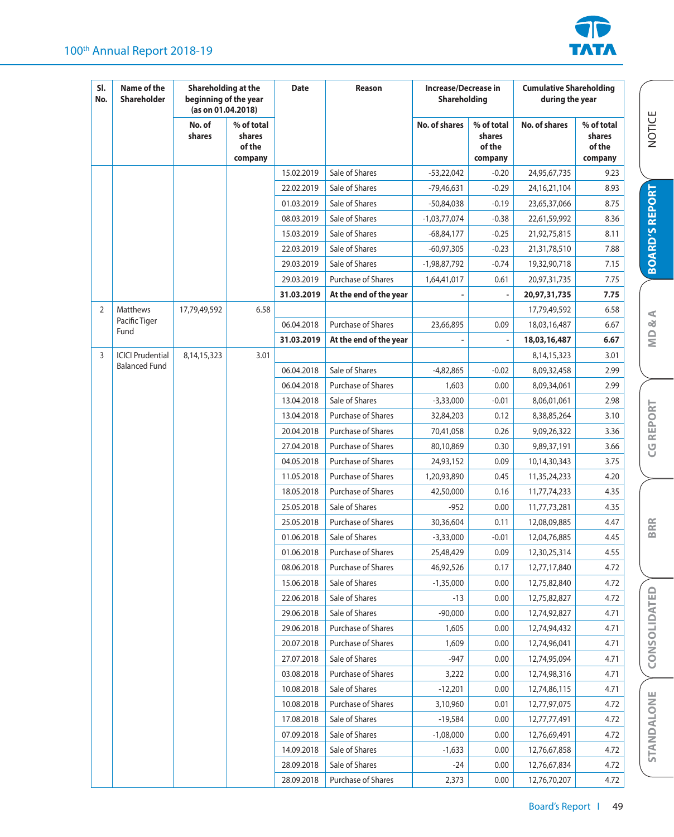



NOTICE

**BOARD'S REPORT**

**BOARD'S REPORT** 

**MD & A**

**CG REPORT**

**CG REPORT** 

**BRR**

**CONSOLIDATED**

STANDALONE CONSOLIDATED

| SI.<br>No.     | Name of the<br><b>Shareholder</b> | Shareholding at the<br>beginning of the year<br>(as on 01.04.2018) |                                           | <b>Date</b> | Reason                    | Increase/Decrease in<br>Shareholding |                                           | <b>Cumulative Shareholding</b><br>during the year |                                           |
|----------------|-----------------------------------|--------------------------------------------------------------------|-------------------------------------------|-------------|---------------------------|--------------------------------------|-------------------------------------------|---------------------------------------------------|-------------------------------------------|
|                |                                   | No. of<br>shares                                                   | % of total<br>shares<br>of the<br>company |             |                           | <b>No. of shares</b>                 | % of total<br>shares<br>of the<br>company | No. of shares                                     | % of total<br>shares<br>of the<br>company |
|                |                                   |                                                                    |                                           | 15.02.2019  | Sale of Shares            | $-53,22,042$                         | $-0.20$                                   | 24,95,67,735                                      | 9.23                                      |
|                |                                   |                                                                    |                                           | 22.02.2019  | Sale of Shares            | $-79,46,631$                         | $-0.29$                                   | 24, 16, 21, 104                                   | 8.93                                      |
|                |                                   |                                                                    |                                           | 01.03.2019  | Sale of Shares            | $-50,84,038$                         | $-0.19$                                   | 23,65,37,066                                      | 8.75                                      |
|                |                                   |                                                                    |                                           | 08.03.2019  | Sale of Shares            | $-1,03,77,074$                       | $-0.38$                                   | 22,61,59,992                                      | 8.36                                      |
|                |                                   |                                                                    |                                           | 15.03.2019  | Sale of Shares            | $-68,84,177$                         | $-0.25$                                   | 21,92,75,815                                      | 8.11                                      |
|                |                                   |                                                                    |                                           | 22.03.2019  | Sale of Shares            | $-60,97,305$                         | $-0.23$                                   | 21,31,78,510                                      | 7.88                                      |
|                |                                   |                                                                    |                                           | 29.03.2019  | Sale of Shares            | -1,98,87,792                         | $-0.74$                                   | 19,32,90,718                                      | 7.15                                      |
|                |                                   |                                                                    |                                           | 29.03.2019  | <b>Purchase of Shares</b> | 1,64,41,017                          | 0.61                                      | 20,97,31,735                                      | 7.75                                      |
|                |                                   |                                                                    |                                           | 31.03.2019  | At the end of the year    |                                      |                                           | 20,97,31,735                                      | 7.75                                      |
| $\overline{2}$ | Matthews                          | 17,79,49,592                                                       | 6.58                                      |             |                           |                                      |                                           | 17,79,49,592                                      | 6.58                                      |
|                | Pacific Tiger<br>Fund             |                                                                    |                                           | 06.04.2018  | Purchase of Shares        | 23,66,895                            | 0.09                                      | 18,03,16,487                                      | 6.67                                      |
|                |                                   |                                                                    |                                           | 31.03.2019  | At the end of the year    |                                      |                                           | 18,03,16,487                                      | 6.67                                      |
| 3              | <b>ICICI Prudential</b>           | 8,14,15,323                                                        | 3.01                                      |             |                           |                                      |                                           | 8, 14, 15, 323                                    | 3.01                                      |
|                | <b>Balanced Fund</b>              |                                                                    |                                           | 06.04.2018  | Sale of Shares            | $-4,82,865$                          | $-0.02$                                   | 8,09,32,458                                       | 2.99                                      |
|                |                                   |                                                                    |                                           | 06.04.2018  | Purchase of Shares        | 1,603                                | 0.00                                      | 8,09,34,061                                       | 2.99                                      |
|                |                                   |                                                                    |                                           | 13.04.2018  | Sale of Shares            | $-3,33,000$                          | $-0.01$                                   | 8,06,01,061                                       | 2.98                                      |
|                |                                   |                                                                    |                                           | 13.04.2018  | <b>Purchase of Shares</b> | 32,84,203                            | 0.12                                      | 8,38,85,264                                       | 3.10                                      |
|                |                                   |                                                                    |                                           | 20.04.2018  | <b>Purchase of Shares</b> | 70,41,058                            | 0.26                                      | 9,09,26,322                                       | 3.36                                      |
|                |                                   |                                                                    |                                           | 27.04.2018  | <b>Purchase of Shares</b> | 80,10,869                            | 0.30                                      | 9,89,37,191                                       | 3.66                                      |
|                |                                   |                                                                    |                                           | 04.05.2018  | <b>Purchase of Shares</b> | 24,93,152                            | 0.09                                      | 10,14,30,343                                      | 3.75                                      |
|                |                                   |                                                                    |                                           | 11.05.2018  | Purchase of Shares        | 1,20,93,890                          | 0.45                                      | 11,35,24,233                                      | 4.20                                      |
|                |                                   |                                                                    |                                           | 18.05.2018  | Purchase of Shares        | 42,50,000                            | 0.16                                      | 11,77,74,233                                      | 4.35                                      |
|                |                                   |                                                                    |                                           | 25.05.2018  | Sale of Shares            | $-952$                               | 0.00                                      | 11,77,73,281                                      | 4.35                                      |
|                |                                   |                                                                    |                                           | 25.05.2018  | Purchase of Shares        | 30,36,604                            | 0.11                                      | 12,08,09,885                                      | 4.47                                      |
|                |                                   |                                                                    |                                           | 01.06.2018  | Sale of Shares            | $-3,33,000$                          | $-0.01$                                   | 12,04,76,885                                      | 4.45                                      |
|                |                                   |                                                                    |                                           | 01.06.2018  | <b>Purchase of Shares</b> | 25,48,429                            | 0.09                                      | 12,30,25,314                                      | 4.55                                      |
|                |                                   |                                                                    |                                           | 08.06.2018  | <b>Purchase of Shares</b> | 46,92,526                            | 0.17                                      | 12,77,17,840                                      | 4.72                                      |
|                |                                   |                                                                    |                                           | 15.06.2018  | Sale of Shares            | $-1,35,000$                          | 0.00                                      | 12,75,82,840                                      | 4.72                                      |
|                |                                   |                                                                    |                                           | 22.06.2018  | Sale of Shares            | $-13$                                | 0.00                                      | 12,75,82,827                                      | 4.72                                      |
|                |                                   |                                                                    |                                           | 29.06.2018  | Sale of Shares            | $-90,000$                            | 0.00                                      | 12,74,92,827                                      | 4.71                                      |
|                |                                   |                                                                    |                                           | 29.06.2018  | Purchase of Shares        | 1,605                                | 0.00                                      | 12,74,94,432                                      | 4.71                                      |
|                |                                   |                                                                    |                                           | 20.07.2018  | Purchase of Shares        | 1,609                                | 0.00                                      | 12,74,96,041                                      | 4.71                                      |
|                |                                   |                                                                    |                                           | 27.07.2018  | Sale of Shares            | $-947$                               | 0.00                                      | 12,74,95,094                                      | 4.71                                      |
|                |                                   |                                                                    |                                           | 03.08.2018  | <b>Purchase of Shares</b> | 3,222                                | 0.00                                      | 12,74,98,316                                      | 4.71                                      |
|                |                                   |                                                                    |                                           | 10.08.2018  | Sale of Shares            | $-12,201$                            | 0.00                                      | 12,74,86,115                                      | 4.71                                      |
|                |                                   |                                                                    |                                           | 10.08.2018  | Purchase of Shares        | 3,10,960                             | 0.01                                      | 12,77,97,075                                      | 4.72                                      |
|                |                                   |                                                                    |                                           | 17.08.2018  | Sale of Shares            | $-19,584$                            | 0.00                                      | 12,77,77,491                                      | 4.72                                      |
|                |                                   |                                                                    |                                           | 07.09.2018  | Sale of Shares            | $-1,08,000$                          | 0.00                                      | 12,76,69,491                                      | 4.72                                      |
|                |                                   |                                                                    |                                           | 14.09.2018  | Sale of Shares            | $-1,633$                             | 0.00                                      | 12,76,67,858                                      | 4.72                                      |
|                |                                   |                                                                    |                                           | 28.09.2018  | Sale of Shares            | $-24$                                | 0.00                                      | 12,76,67,834                                      | 4.72                                      |
|                |                                   |                                                                    |                                           | 28.09.2018  | Purchase of Shares        | 2,373                                | 0.00                                      | 12,76,70,207                                      | 4.72                                      |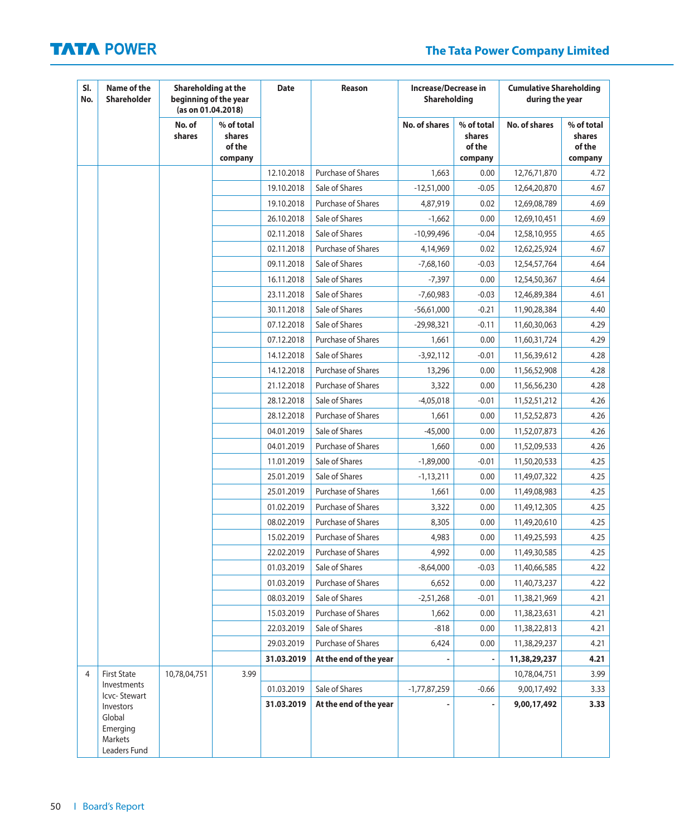# **The Tata Power Company Limited**

| SI.<br>No.     | Name of the<br><b>Shareholder</b>                          |                  | Shareholding at the<br><b>Date</b><br>Reason<br><b>Increase/Decrease in</b><br>beginning of the year<br><b>Shareholding</b><br>(as on 01.04.2018) |            | <b>Cumulative Shareholding</b><br>during the year |                      |                                           |                      |                                           |
|----------------|------------------------------------------------------------|------------------|---------------------------------------------------------------------------------------------------------------------------------------------------|------------|---------------------------------------------------|----------------------|-------------------------------------------|----------------------|-------------------------------------------|
|                |                                                            | No. of<br>shares | % of total<br>shares<br>of the<br>company                                                                                                         |            |                                                   | <b>No. of shares</b> | % of total<br>shares<br>of the<br>company | <b>No. of shares</b> | % of total<br>shares<br>of the<br>company |
|                |                                                            |                  |                                                                                                                                                   | 12.10.2018 | Purchase of Shares                                | 1,663                | 0.00                                      | 12,76,71,870         | 4.72                                      |
|                |                                                            |                  |                                                                                                                                                   | 19.10.2018 | Sale of Shares                                    | $-12,51,000$         | $-0.05$                                   | 12,64,20,870         | 4.67                                      |
|                |                                                            |                  |                                                                                                                                                   | 19.10.2018 | Purchase of Shares                                | 4,87,919             | 0.02                                      | 12,69,08,789         | 4.69                                      |
|                |                                                            |                  |                                                                                                                                                   | 26.10.2018 | Sale of Shares                                    | $-1,662$             | 0.00                                      | 12,69,10,451         | 4.69                                      |
|                |                                                            |                  |                                                                                                                                                   | 02.11.2018 | Sale of Shares                                    | $-10,99,496$         | $-0.04$                                   | 12,58,10,955         | 4.65                                      |
|                |                                                            |                  |                                                                                                                                                   | 02.11.2018 | <b>Purchase of Shares</b>                         | 4,14,969             | 0.02                                      | 12,62,25,924         | 4.67                                      |
|                |                                                            |                  |                                                                                                                                                   | 09.11.2018 | Sale of Shares                                    | $-7,68,160$          | $-0.03$                                   | 12,54,57,764         | 4.64                                      |
|                |                                                            |                  |                                                                                                                                                   | 16.11.2018 | Sale of Shares                                    | $-7,397$             | 0.00                                      | 12,54,50,367         | 4.64                                      |
|                |                                                            |                  |                                                                                                                                                   | 23.11.2018 | Sale of Shares                                    | $-7,60,983$          | $-0.03$                                   | 12,46,89,384         | 4.61                                      |
|                |                                                            |                  |                                                                                                                                                   | 30.11.2018 | Sale of Shares                                    | $-56,61,000$         | $-0.21$                                   | 11,90,28,384         | 4.40                                      |
|                |                                                            |                  |                                                                                                                                                   | 07.12.2018 | Sale of Shares                                    | $-29,98,321$         | $-0.11$                                   | 11,60,30,063         | 4.29                                      |
|                |                                                            |                  |                                                                                                                                                   | 07.12.2018 | Purchase of Shares                                | 1,661                | 0.00                                      | 11,60,31,724         | 4.29                                      |
|                |                                                            |                  |                                                                                                                                                   | 14.12.2018 | Sale of Shares                                    | $-3,92,112$          | $-0.01$                                   | 11,56,39,612         | 4.28                                      |
|                |                                                            |                  |                                                                                                                                                   | 14.12.2018 | Purchase of Shares                                | 13,296               | 0.00                                      | 11,56,52,908         | 4.28                                      |
|                |                                                            |                  |                                                                                                                                                   | 21.12.2018 | <b>Purchase of Shares</b>                         | 3,322                | 0.00                                      | 11,56,56,230         | 4.28                                      |
|                |                                                            |                  |                                                                                                                                                   | 28.12.2018 | Sale of Shares                                    | $-4,05,018$          | $-0.01$                                   | 11,52,51,212         | 4.26                                      |
|                |                                                            |                  |                                                                                                                                                   | 28.12.2018 | <b>Purchase of Shares</b>                         | 1,661                | 0.00                                      | 11,52,52,873         | 4.26                                      |
|                |                                                            |                  |                                                                                                                                                   | 04.01.2019 | Sale of Shares                                    | $-45,000$            | 0.00                                      | 11,52,07,873         | 4.26                                      |
|                |                                                            |                  |                                                                                                                                                   | 04.01.2019 | Purchase of Shares                                | 1,660                | 0.00                                      | 11,52,09,533         | 4.26                                      |
|                |                                                            |                  |                                                                                                                                                   | 11.01.2019 | Sale of Shares                                    | $-1,89,000$          | $-0.01$                                   | 11,50,20,533         | 4.25                                      |
|                |                                                            |                  |                                                                                                                                                   | 25.01.2019 | Sale of Shares                                    | $-1,13,211$          | 0.00                                      | 11,49,07,322         | 4.25                                      |
|                |                                                            |                  |                                                                                                                                                   | 25.01.2019 | Purchase of Shares                                | 1,661                | 0.00                                      | 11,49,08,983         | 4.25                                      |
|                |                                                            |                  |                                                                                                                                                   | 01.02.2019 | Purchase of Shares                                | 3,322                | 0.00                                      | 11,49,12,305         | 4.25                                      |
|                |                                                            |                  |                                                                                                                                                   | 08.02.2019 | Purchase of Shares                                | 8,305                | 0.00                                      | 11,49,20,610         | 4.25                                      |
|                |                                                            |                  |                                                                                                                                                   | 15.02.2019 | Purchase of Shares                                | 4,983                | 0.00                                      | 11,49,25,593         | 4.25                                      |
|                |                                                            |                  |                                                                                                                                                   | 22.02.2019 | Purchase of Shares                                | 4,992                | 0.00                                      | 11,49,30,585         | 4.25                                      |
|                |                                                            |                  |                                                                                                                                                   | 01.03.2019 | Sale of Shares                                    | $-8,64,000$          | $-0.03$                                   | 11,40,66,585         | 4.22                                      |
|                |                                                            |                  |                                                                                                                                                   | 01.03.2019 | <b>Purchase of Shares</b>                         | 6,652                | 0.00                                      | 11,40,73,237         | 4.22                                      |
|                |                                                            |                  |                                                                                                                                                   | 08.03.2019 | Sale of Shares                                    | $-2,51,268$          | $-0.01$                                   | 11,38,21,969         | 4.21                                      |
|                |                                                            |                  |                                                                                                                                                   | 15.03.2019 | <b>Purchase of Shares</b>                         | 1,662                | 0.00                                      | 11,38,23,631         | 4.21                                      |
|                |                                                            |                  |                                                                                                                                                   | 22.03.2019 | Sale of Shares                                    | $-818$               | 0.00                                      | 11,38,22,813         | 4.21                                      |
|                |                                                            |                  |                                                                                                                                                   | 29.03.2019 | Purchase of Shares                                | 6,424                | 0.00                                      | 11,38,29,237         | 4.21                                      |
|                |                                                            |                  |                                                                                                                                                   | 31.03.2019 | At the end of the year                            |                      |                                           | 11,38,29,237         | 4.21                                      |
| $\overline{4}$ | <b>First State</b>                                         | 10,78,04,751     | 3.99                                                                                                                                              |            |                                                   |                      |                                           | 10,78,04,751         | 3.99                                      |
|                | Investments<br>Icvc-Stewart                                |                  |                                                                                                                                                   | 01.03.2019 | Sale of Shares                                    | $-1,77,87,259$       | $-0.66$                                   | 9,00,17,492          | 3.33                                      |
|                | Investors<br>Global<br>Emerging<br>Markets<br>Leaders Fund |                  |                                                                                                                                                   | 31.03.2019 | At the end of the year                            |                      |                                           | 9,00,17,492          | 3.33                                      |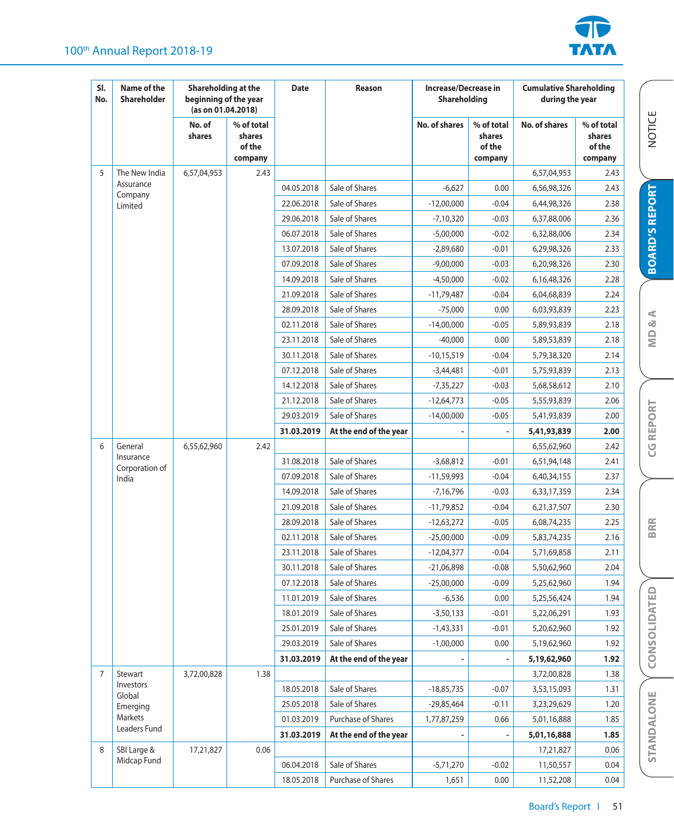## 100<sup>th</sup> Annual Report 2018-19



NOTICE

**BOARD'S REPORT**

**BOARD'S REPORT** 

**MD & A**

**CG REPORT**

**CG REPORT** 

**BRR**

**CONSOLIDATED**

STANDALONE CONSOLIDATED

| SI.<br>No.     | Name of the<br><b>Shareholder</b> | Shareholding at the<br>beginning of the year<br>(as on 01.04.2018) |                                           | <b>Date</b> | Reason                 | <b>Increase/Decrease in</b><br><b>Shareholding</b> |                                           | <b>Cumulative Shareholding</b><br>during the year |                                           |
|----------------|-----------------------------------|--------------------------------------------------------------------|-------------------------------------------|-------------|------------------------|----------------------------------------------------|-------------------------------------------|---------------------------------------------------|-------------------------------------------|
|                |                                   | No. of<br>shares                                                   | % of total<br>shares<br>of the<br>company |             |                        | No. of shares                                      | % of total<br>shares<br>of the<br>company | No. of shares                                     | % of total<br>shares<br>of the<br>company |
| 5              | The New India                     | 6,57,04,953                                                        | 2.43                                      |             |                        |                                                    |                                           | 6,57,04,953                                       | 2.43                                      |
|                | Assurance                         |                                                                    |                                           | 04.05.2018  | Sale of Shares         | $-6,627$                                           | 0.00                                      | 6,56,98,326                                       | 2.43                                      |
|                | Company<br>Limited                |                                                                    |                                           | 22.06.2018  | Sale of Shares         | $-12,00,000$                                       | $-0.04$                                   | 6,44,98,326                                       | 2.38                                      |
|                |                                   |                                                                    |                                           | 29.06.2018  | Sale of Shares         | $-7,10,320$                                        | $-0.03$                                   | 6,37,88,006                                       | 2.36                                      |
|                |                                   |                                                                    |                                           | 06.07.2018  | Sale of Shares         | $-5,00,000$                                        | $-0.02$                                   | 6,32,88,006                                       | 2.34                                      |
|                |                                   |                                                                    |                                           | 13.07.2018  | Sale of Shares         | $-2,89,680$                                        | $-0.01$                                   | 6,29,98,326                                       | 2.33                                      |
|                |                                   |                                                                    |                                           | 07.09.2018  | Sale of Shares         | $-9,00,000$                                        | $-0.03$                                   | 6,20,98,326                                       | 2.30                                      |
|                |                                   |                                                                    |                                           | 14.09.2018  | Sale of Shares         | $-4,50,000$                                        | $-0.02$                                   | 6,16,48,326                                       | 2.28                                      |
|                |                                   |                                                                    |                                           | 21.09.2018  | Sale of Shares         | $-11,79,487$                                       | $-0.04$                                   | 6,04,68,839                                       | 2.24                                      |
|                |                                   |                                                                    |                                           | 28.09.2018  | Sale of Shares         | $-75,000$                                          | 0.00                                      | 6,03,93,839                                       | 2.23                                      |
|                |                                   |                                                                    |                                           | 02.11.2018  | Sale of Shares         | $-14,00,000$                                       | $-0.05$                                   | 5,89,93,839                                       | 2.18                                      |
|                |                                   |                                                                    |                                           | 23.11.2018  | Sale of Shares         | $-40,000$                                          | 0.00                                      | 5,89,53,839                                       | 2.18                                      |
|                |                                   |                                                                    |                                           | 30.11.2018  | Sale of Shares         | $-10,15,519$                                       | $-0.04$                                   | 5,79,38,320                                       | 2.14                                      |
|                |                                   |                                                                    |                                           | 07.12.2018  | Sale of Shares         | $-3,44,481$                                        | $-0.01$                                   | 5,75,93,839                                       | 2.13                                      |
|                |                                   |                                                                    |                                           | 14.12.2018  | Sale of Shares         | $-7,35,227$                                        | $-0.03$                                   | 5,68,58,612                                       | 2.10                                      |
|                |                                   |                                                                    |                                           | 21.12.2018  | Sale of Shares         | $-12,64,773$                                       | $-0.05$                                   | 5,55,93,839                                       | 2.06                                      |
|                |                                   |                                                                    |                                           | 29.03.2019  | Sale of Shares         | $-14,00,000$                                       | $-0.05$                                   | 5,41,93,839                                       | 2.00                                      |
|                |                                   |                                                                    |                                           | 31.03.2019  | At the end of the year |                                                    |                                           | 5,41,93,839                                       | 2.00                                      |
| 6              | General                           | 6,55,62,960                                                        | 2.42                                      |             |                        |                                                    |                                           | 6,55,62,960                                       | 2.42                                      |
|                | Insurance<br>Corporation of       |                                                                    |                                           | 31.08.2018  | Sale of Shares         | $-3,68,812$                                        | $-0.01$                                   | 6,51,94,148                                       | 2.41                                      |
|                | India                             |                                                                    |                                           | 07.09.2018  | Sale of Shares         | $-11,59,993$                                       | $-0.04$                                   | 6,40,34,155                                       | 2.37                                      |
|                |                                   |                                                                    |                                           | 14.09.2018  | Sale of Shares         | $-7,16,796$                                        | $-0.03$                                   | 6,33,17,359                                       | 2.34                                      |
|                |                                   |                                                                    |                                           | 21.09.2018  | Sale of Shares         | $-11,79,852$                                       | $-0.04$                                   | 6,21,37,507                                       | 2.30                                      |
|                |                                   |                                                                    |                                           | 28.09.2018  | Sale of Shares         | $-12,63,272$                                       | $-0.05$                                   | 6,08,74,235                                       | 2.25                                      |
|                |                                   |                                                                    |                                           | 02.11.2018  | Sale of Shares         | $-25,00,000$                                       | $-0.09$                                   | 5,83,74,235                                       | 2.16                                      |
|                |                                   |                                                                    |                                           | 23.11.2018  | Sale of Shares         | $-12,04,377$                                       | $-0.04$                                   | 5,71,69,858                                       | 2.11                                      |
|                |                                   |                                                                    |                                           | 30.11.2018  | Sale of Shares         | $-21,06,898$                                       | $-0.08$                                   | 5,50,62,960                                       | 2.04                                      |
|                |                                   |                                                                    |                                           | 07.12.2018  | Sale of Shares         | $-25,00,000$                                       | $-0.09$                                   | 5,25,62,960                                       | 1.94                                      |
|                |                                   |                                                                    |                                           | 11.01.2019  | Sale of Shares         | $-6,536$                                           | 0.00                                      | 5,25,56,424                                       | 1.94                                      |
|                |                                   |                                                                    |                                           | 18.01.2019  | Sale of Shares         | $-3,50,133$                                        | $-0.01$                                   | 5,22,06,291                                       | 1.93                                      |
|                |                                   |                                                                    |                                           | 25.01.2019  | Sale of Shares         | $-1,43,331$                                        | $-0.01$                                   | 5,20,62,960                                       | 1.92                                      |
|                |                                   |                                                                    |                                           | 29.03.2019  | Sale of Shares         | $-1,00,000$                                        | 0.00                                      | 5,19,62,960                                       | 1.92                                      |
|                |                                   |                                                                    |                                           | 31.03.2019  | At the end of the year |                                                    |                                           | 5,19,62,960                                       | 1.92                                      |
| $\overline{7}$ | Stewart                           | 3,72,00,828                                                        | 1.38                                      |             |                        |                                                    |                                           | 3,72,00,828                                       | 1.38                                      |
|                | Investors<br>Global               |                                                                    |                                           | 18.05.2018  | Sale of Shares         | $-18,85,735$                                       | $-0.07$                                   | 3,53,15,093                                       | 1.31                                      |
|                | Emerging                          |                                                                    |                                           | 25.05.2018  | Sale of Shares         | $-29,85,464$                                       | $-0.11$                                   | 3,23,29,629                                       | 1.20                                      |
|                | Markets<br>Leaders Fund           |                                                                    |                                           | 01.03.2019  | Purchase of Shares     | 1,77,87,259                                        | 0.66                                      | 5,01,16,888                                       | 1.85                                      |
|                |                                   |                                                                    |                                           | 31.03.2019  | At the end of the year |                                                    |                                           | 5,01,16,888                                       | 1.85                                      |
| 8              | SBI Large &                       | 17,21,827                                                          | 0.06                                      |             |                        |                                                    |                                           | 17,21,827                                         | 0.06                                      |
|                | Midcap Fund                       |                                                                    |                                           | 06.04.2018  | Sale of Shares         | $-5,71,270$                                        | $-0.02$                                   | 11,50,557                                         | 0.04                                      |
|                |                                   |                                                                    |                                           | 18.05.2018  | Purchase of Shares     | 1,651                                              | 0.00                                      | 11,52,208                                         | 0.04                                      |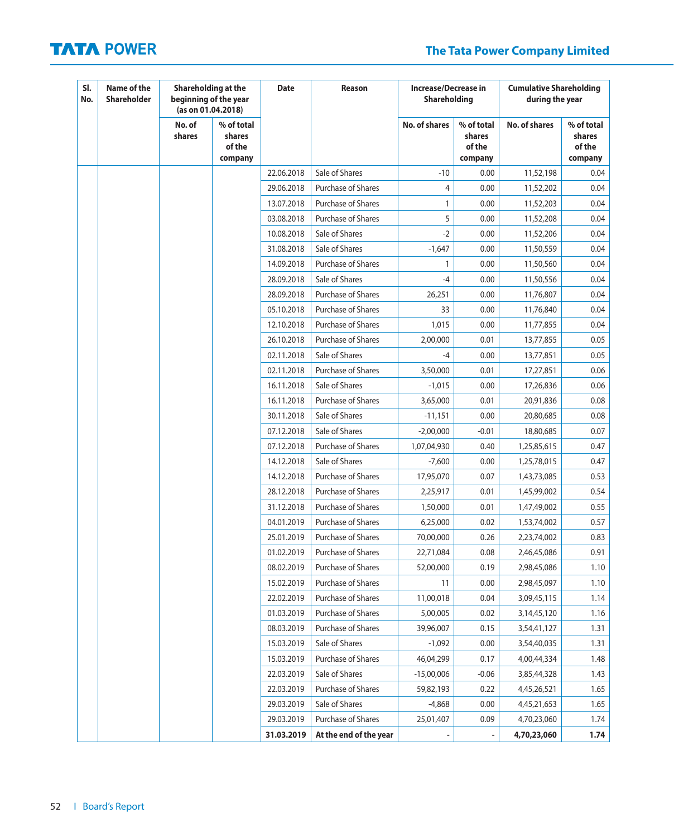# **The Tata Power Company Limited**

| SI.<br>No. | Name of the<br><b>Shareholder</b> | Shareholding at the<br>beginning of the year<br>(as on 01.04.2018) |                                           | <b>Date</b> | Reason                    | <b>Increase/Decrease in</b><br>Shareholding |                                           | <b>Cumulative Shareholding</b><br>during the year |                                           |
|------------|-----------------------------------|--------------------------------------------------------------------|-------------------------------------------|-------------|---------------------------|---------------------------------------------|-------------------------------------------|---------------------------------------------------|-------------------------------------------|
|            |                                   | No. of<br>shares                                                   | % of total<br>shares<br>of the<br>company |             |                           | <b>No. of shares</b>                        | % of total<br>shares<br>of the<br>company | No. of shares                                     | % of total<br>shares<br>of the<br>company |
|            |                                   |                                                                    |                                           | 22.06.2018  | Sale of Shares            | $-10$                                       | 0.00                                      | 11,52,198                                         | 0.04                                      |
|            |                                   |                                                                    |                                           | 29.06.2018  | Purchase of Shares        | 4                                           | 0.00                                      | 11,52,202                                         | 0.04                                      |
|            |                                   |                                                                    |                                           | 13.07.2018  | <b>Purchase of Shares</b> | $\mathbf{1}$                                | 0.00                                      | 11,52,203                                         | 0.04                                      |
|            |                                   |                                                                    |                                           | 03.08.2018  | <b>Purchase of Shares</b> | 5                                           | 0.00                                      | 11,52,208                                         | 0.04                                      |
|            |                                   |                                                                    |                                           | 10.08.2018  | Sale of Shares            | $-2$                                        | 0.00                                      | 11,52,206                                         | 0.04                                      |
|            |                                   |                                                                    |                                           | 31.08.2018  | Sale of Shares            | $-1,647$                                    | 0.00                                      | 11,50,559                                         | 0.04                                      |
|            |                                   |                                                                    |                                           | 14.09.2018  | <b>Purchase of Shares</b> | 1                                           | 0.00                                      | 11,50,560                                         | 0.04                                      |
|            |                                   |                                                                    |                                           | 28.09.2018  | Sale of Shares            | $-4$                                        | 0.00                                      | 11,50,556                                         | 0.04                                      |
|            |                                   |                                                                    |                                           | 28.09.2018  | Purchase of Shares        | 26,251                                      | 0.00                                      | 11,76,807                                         | 0.04                                      |
|            |                                   |                                                                    |                                           | 05.10.2018  | <b>Purchase of Shares</b> | 33                                          | 0.00                                      | 11,76,840                                         | 0.04                                      |
|            |                                   |                                                                    |                                           | 12.10.2018  | Purchase of Shares        | 1,015                                       | 0.00                                      | 11,77,855                                         | 0.04                                      |
|            |                                   |                                                                    |                                           | 26.10.2018  | Purchase of Shares        | 2,00,000                                    | 0.01                                      | 13,77,855                                         | 0.05                                      |
|            |                                   |                                                                    |                                           | 02.11.2018  | Sale of Shares            | -4                                          | 0.00                                      | 13,77,851                                         | 0.05                                      |
|            |                                   |                                                                    |                                           | 02.11.2018  | Purchase of Shares        | 3,50,000                                    | 0.01                                      | 17,27,851                                         | 0.06                                      |
|            |                                   |                                                                    |                                           | 16.11.2018  | Sale of Shares            | $-1,015$                                    | 0.00                                      | 17,26,836                                         | 0.06                                      |
|            |                                   |                                                                    |                                           | 16.11.2018  | <b>Purchase of Shares</b> | 3,65,000                                    | 0.01                                      | 20,91,836                                         | 0.08                                      |
|            |                                   |                                                                    |                                           | 30.11.2018  | Sale of Shares            | $-11,151$                                   | 0.00                                      | 20,80,685                                         | 0.08                                      |
|            |                                   |                                                                    |                                           | 07.12.2018  | Sale of Shares            | $-2,00,000$                                 | $-0.01$                                   | 18,80,685                                         | 0.07                                      |
|            |                                   |                                                                    |                                           | 07.12.2018  | <b>Purchase of Shares</b> | 1,07,04,930                                 | 0.40                                      | 1,25,85,615                                       | 0.47                                      |
|            |                                   |                                                                    |                                           | 14.12.2018  | Sale of Shares            | $-7,600$                                    | 0.00                                      | 1,25,78,015                                       | 0.47                                      |
|            |                                   |                                                                    |                                           | 14.12.2018  | <b>Purchase of Shares</b> | 17,95,070                                   | 0.07                                      | 1,43,73,085                                       | 0.53                                      |
|            |                                   |                                                                    |                                           | 28.12.2018  | Purchase of Shares        | 2,25,917                                    | 0.01                                      | 1,45,99,002                                       | 0.54                                      |
|            |                                   |                                                                    |                                           | 31.12.2018  | Purchase of Shares        | 1,50,000                                    | 0.01                                      | 1,47,49,002                                       | 0.55                                      |
|            |                                   |                                                                    |                                           | 04.01.2019  | Purchase of Shares        | 6,25,000                                    | 0.02                                      | 1,53,74,002                                       | 0.57                                      |
|            |                                   |                                                                    |                                           | 25.01.2019  | Purchase of Shares        | 70,00,000                                   | 0.26                                      | 2,23,74,002                                       | 0.83                                      |
|            |                                   |                                                                    |                                           | 01.02.2019  | Purchase of Shares        | 22,71,084                                   | 0.08                                      | 2,46,45,086                                       | 0.91                                      |
|            |                                   |                                                                    |                                           | 08.02.2019  | <b>Purchase of Shares</b> | 52,00,000                                   | 0.19                                      | 2,98,45,086                                       | 1.10                                      |
|            |                                   |                                                                    |                                           | 15.02.2019  | <b>Purchase of Shares</b> | 11                                          | 0.00                                      | 2,98,45,097                                       | 1.10                                      |
|            |                                   |                                                                    |                                           | 22.02.2019  | Purchase of Shares        | 11,00,018                                   | 0.04                                      | 3,09,45,115                                       | 1.14                                      |
|            |                                   |                                                                    |                                           | 01.03.2019  | Purchase of Shares        | 5,00,005                                    | 0.02                                      | 3, 14, 45, 120                                    | 1.16                                      |
|            |                                   |                                                                    |                                           | 08.03.2019  | Purchase of Shares        | 39,96,007                                   | 0.15                                      | 3,54,41,127                                       | 1.31                                      |
|            |                                   |                                                                    |                                           | 15.03.2019  | Sale of Shares            | $-1,092$                                    | 0.00                                      | 3,54,40,035                                       | 1.31                                      |
|            |                                   |                                                                    |                                           | 15.03.2019  | Purchase of Shares        | 46,04,299                                   | 0.17                                      | 4,00,44,334                                       | 1.48                                      |
|            |                                   |                                                                    |                                           | 22.03.2019  | Sale of Shares            | $-15,00,006$                                | $-0.06$                                   | 3,85,44,328                                       | 1.43                                      |
|            |                                   |                                                                    |                                           | 22.03.2019  | Purchase of Shares        | 59,82,193                                   | 0.22                                      | 4,45,26,521                                       | 1.65                                      |
|            |                                   |                                                                    |                                           | 29.03.2019  | Sale of Shares            | $-4,868$                                    | 0.00                                      | 4,45,21,653                                       | 1.65                                      |
|            |                                   |                                                                    |                                           | 29.03.2019  | Purchase of Shares        | 25,01,407                                   | 0.09                                      | 4,70,23,060                                       | 1.74                                      |
|            |                                   |                                                                    |                                           | 31.03.2019  | At the end of the year    |                                             |                                           | 4,70,23,060                                       | 1.74                                      |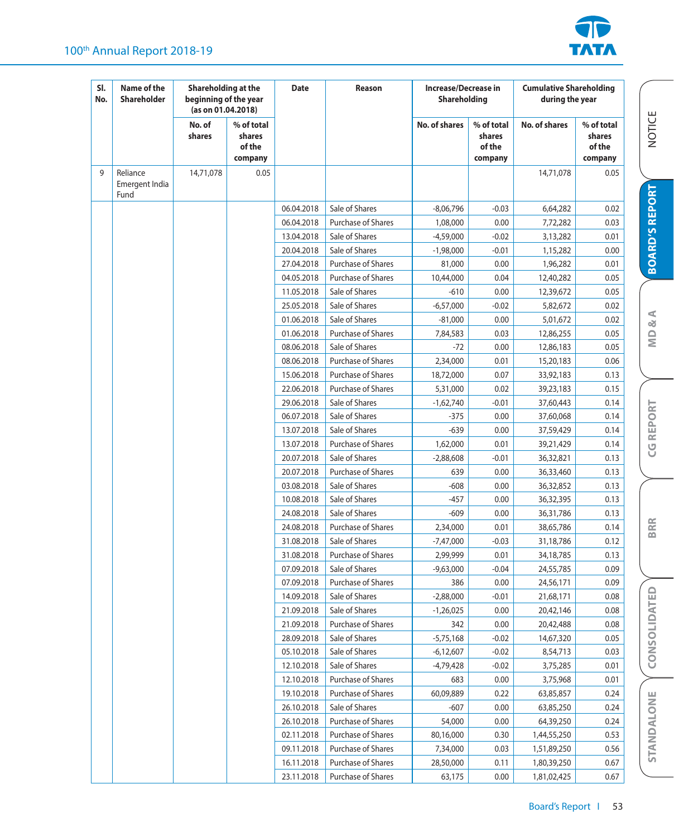## 100<sup>th</sup> Annual Report 2018-19



| SI.<br>No. | Name of the<br><b>Shareholder</b>  | Shareholding at the<br>beginning of the year<br>(as on 01.04.2018) |                                           | <b>Date</b> | Reason                    | Increase/Decrease in<br><b>Shareholding</b> |                                           | <b>Cumulative Shareholding</b><br>during the year |                                           |                         |
|------------|------------------------------------|--------------------------------------------------------------------|-------------------------------------------|-------------|---------------------------|---------------------------------------------|-------------------------------------------|---------------------------------------------------|-------------------------------------------|-------------------------|
|            |                                    | No. of<br>shares                                                   | % of total<br>shares<br>of the<br>company |             |                           | <b>No. of shares</b>                        | % of total<br>shares<br>of the<br>company | <b>No. of shares</b>                              | % of total<br>shares<br>of the<br>company | <b>NOTICE</b>           |
| 9          | Reliance<br>Emergent India<br>Fund | 14,71,078                                                          | 0.05                                      |             |                           |                                             |                                           | 14,71,078                                         | 0.05                                      |                         |
|            |                                    |                                                                    |                                           | 06.04.2018  | Sale of Shares            | $-8,06,796$                                 | $-0.03$                                   | 6,64,282                                          | 0.02                                      | <b>BOARD'S REPORT</b>   |
|            |                                    |                                                                    |                                           | 06.04.2018  | <b>Purchase of Shares</b> | 1,08,000                                    | 0.00                                      | 7,72,282                                          | 0.03                                      |                         |
|            |                                    |                                                                    |                                           | 13.04.2018  | Sale of Shares            | $-4,59,000$                                 | $-0.02$                                   | 3,13,282                                          | 0.01                                      |                         |
|            |                                    |                                                                    |                                           | 20.04.2018  | Sale of Shares            | $-1,98,000$                                 | $-0.01$                                   | 1,15,282                                          | 0.00                                      |                         |
|            |                                    |                                                                    |                                           | 27.04.2018  | Purchase of Shares        | 81,000                                      | 0.00                                      | 1,96,282                                          | 0.01                                      |                         |
|            |                                    |                                                                    |                                           | 04.05.2018  | Purchase of Shares        | 10,44,000                                   | 0.04                                      | 12,40,282                                         | 0.05                                      |                         |
|            |                                    |                                                                    |                                           | 11.05.2018  | Sale of Shares            | $-610$                                      | 0.00                                      | 12,39,672                                         | 0.05                                      |                         |
|            |                                    |                                                                    |                                           | 25.05.2018  | Sale of Shares            | $-6,57,000$                                 | $-0.02$                                   | 5,82,672                                          | 0.02                                      |                         |
|            |                                    |                                                                    |                                           | 01.06.2018  | Sale of Shares            | $-81,000$                                   | 0.00                                      | 5,01,672                                          | 0.02                                      | $\alpha$ A              |
|            |                                    |                                                                    |                                           | 01.06.2018  | Purchase of Shares        | 7,84,583                                    | 0.03                                      | 12,86,255                                         | 0.05                                      |                         |
|            |                                    |                                                                    |                                           | 08.06.2018  | Sale of Shares            | $-72$                                       | 0.00                                      | 12,86,183                                         | 0.05                                      | $\overline{\mathsf{M}}$ |
|            |                                    |                                                                    |                                           | 08.06.2018  | Purchase of Shares        | 2,34,000                                    | 0.01                                      | 15,20,183                                         | 0.06                                      |                         |
|            |                                    |                                                                    |                                           | 15.06.2018  | Purchase of Shares        | 18,72,000                                   | 0.07                                      | 33,92,183                                         | 0.13                                      |                         |
|            |                                    |                                                                    |                                           | 22.06.2018  | Purchase of Shares        | 5,31,000                                    | 0.02                                      | 39,23,183                                         | 0.15                                      |                         |
|            |                                    |                                                                    |                                           | 29.06.2018  | Sale of Shares            | $-1,62,740$                                 | $-0.01$                                   | 37,60,443                                         | 0.14                                      |                         |
|            |                                    |                                                                    |                                           | 06.07.2018  | Sale of Shares            | $-375$                                      | 0.00                                      | 37,60,068                                         | 0.14                                      | <b>CG REPORT</b>        |
|            |                                    |                                                                    |                                           | 13.07.2018  | Sale of Shares            | $-639$                                      | 0.00                                      | 37,59,429                                         | 0.14                                      |                         |
|            |                                    |                                                                    |                                           | 13.07.2018  | Purchase of Shares        | 1,62,000                                    | 0.01                                      | 39,21,429                                         | 0.14                                      |                         |
|            |                                    |                                                                    |                                           | 20.07.2018  | Sale of Shares            | $-2,88,608$                                 | $-0.01$                                   | 36,32,821                                         | 0.13                                      |                         |
|            |                                    |                                                                    |                                           | 20.07.2018  | Purchase of Shares        | 639                                         | 0.00                                      | 36,33,460                                         | 0.13                                      |                         |
|            |                                    |                                                                    |                                           | 03.08.2018  | Sale of Shares            | $-608$                                      | 0.00                                      | 36,32,852                                         | 0.13                                      |                         |
|            |                                    |                                                                    |                                           | 10.08.2018  | Sale of Shares            | -457                                        | 0.00                                      | 36,32,395                                         | 0.13                                      |                         |
|            |                                    |                                                                    |                                           | 24.08.2018  | Sale of Shares            | -609                                        | 0.00                                      | 36,31,786                                         | 0.13                                      |                         |
|            |                                    |                                                                    |                                           | 24.08.2018  | Purchase of Shares        | 2,34,000                                    | 0.01                                      | 38,65,786                                         | 0.14                                      | <b>BRR</b>              |
|            |                                    |                                                                    |                                           | 31.08.2018  | Sale of Shares            | -7,47,000                                   | $-0.03$                                   | 31,18,786                                         | 0.12                                      |                         |
|            |                                    |                                                                    |                                           | 31.08.2018  | Purchase of Shares        | 2,99,999                                    | 0.01                                      | 34,18,785                                         | 0.13                                      |                         |
|            |                                    |                                                                    |                                           | 07.09.2018  | Sale of Shares            | $-9,63,000$                                 | $-0.04$                                   | 24,55,785                                         | 0.09                                      |                         |
|            |                                    |                                                                    |                                           | 07.09.2018  | <b>Purchase of Shares</b> | 386                                         | 0.00                                      | 24,56,171                                         | 0.09                                      |                         |
|            |                                    |                                                                    |                                           | 14.09.2018  | Sale of Shares            | $-2,88,000$                                 | $-0.01$                                   | 21,68,171                                         | 0.08                                      |                         |
|            |                                    |                                                                    |                                           | 21.09.2018  | Sale of Shares            | $-1,26,025$                                 | 0.00                                      | 20,42,146                                         | 0.08                                      | CONSOLIDATED            |
|            |                                    |                                                                    |                                           | 21.09.2018  | Purchase of Shares        | 342                                         | 0.00                                      | 20,42,488                                         | 0.08                                      |                         |
|            |                                    |                                                                    |                                           | 28.09.2018  | Sale of Shares            | $-5,75,168$                                 | $-0.02$                                   | 14,67,320                                         | 0.05                                      |                         |
|            |                                    |                                                                    |                                           | 05.10.2018  | Sale of Shares            | $-6,12,607$                                 | $-0.02$                                   | 8,54,713                                          | 0.03                                      |                         |
|            |                                    |                                                                    |                                           | 12.10.2018  | Sale of Shares            | $-4,79,428$                                 | $-0.02$                                   | 3,75,285                                          | 0.01                                      |                         |
|            |                                    |                                                                    |                                           | 12.10.2018  | Purchase of Shares        | 683                                         | 0.00                                      | 3,75,968                                          | 0.01                                      |                         |
|            |                                    |                                                                    |                                           | 19.10.2018  | Purchase of Shares        | 60,09,889                                   | 0.22                                      | 63,85,857                                         | 0.24                                      |                         |
|            |                                    |                                                                    |                                           | 26.10.2018  | Sale of Shares            | $-607$                                      | 0.00                                      | 63,85,250                                         | 0.24                                      |                         |
|            |                                    |                                                                    |                                           | 26.10.2018  | Purchase of Shares        | 54,000                                      | 0.00                                      | 64,39,250                                         | 0.24                                      |                         |
|            |                                    |                                                                    |                                           | 02.11.2018  | Purchase of Shares        | 80,16,000                                   | 0.30                                      | 1,44,55,250                                       | 0.53                                      | STANDALONE              |
|            |                                    |                                                                    |                                           | 09.11.2018  | Purchase of Shares        | 7,34,000                                    | 0.03                                      | 1,51,89,250                                       | 0.56                                      |                         |
|            |                                    |                                                                    |                                           | 16.11.2018  | Purchase of Shares        | 28,50,000                                   | 0.11                                      | 1,80,39,250                                       | 0.67                                      |                         |
|            |                                    |                                                                    |                                           | 23.11.2018  | Purchase of Shares        | 63,175                                      | 0.00                                      | 1,81,02,425                                       | 0.67                                      |                         |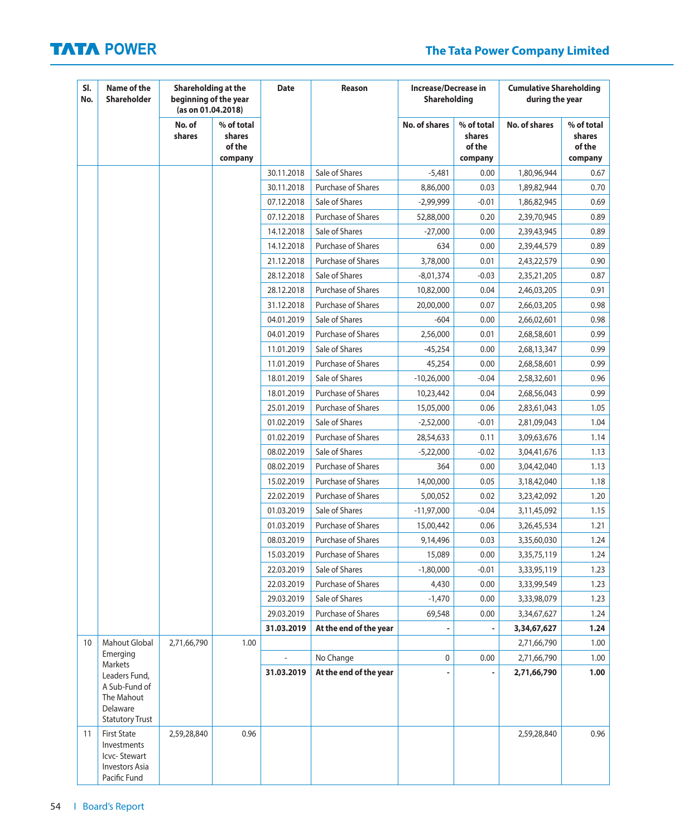# **The Tata Power Company Limited**

| SI.<br>No. | Name of the<br>Shareholder                                                                    | Shareholding at the<br>beginning of the year<br>(as on 01.04.2018) |                                           | <b>Date</b> | Reason                    | <b>Increase/Decrease in</b><br><b>Shareholding</b> |                                           | <b>Cumulative Shareholding</b><br>during the year |                                           |
|------------|-----------------------------------------------------------------------------------------------|--------------------------------------------------------------------|-------------------------------------------|-------------|---------------------------|----------------------------------------------------|-------------------------------------------|---------------------------------------------------|-------------------------------------------|
|            |                                                                                               | No. of<br>shares                                                   | % of total<br>shares<br>of the<br>company |             |                           | <b>No. of shares</b>                               | % of total<br>shares<br>of the<br>company | <b>No. of shares</b>                              | % of total<br>shares<br>of the<br>company |
|            |                                                                                               |                                                                    |                                           | 30.11.2018  | Sale of Shares            | $-5,481$                                           | 0.00                                      | 1,80,96,944                                       | 0.67                                      |
|            |                                                                                               |                                                                    |                                           | 30.11.2018  | <b>Purchase of Shares</b> | 8,86,000                                           | 0.03                                      | 1,89,82,944                                       | 0.70                                      |
|            |                                                                                               |                                                                    |                                           | 07.12.2018  | Sale of Shares            | $-2,99,999$                                        | -0.01                                     | 1,86,82,945                                       | 0.69                                      |
|            |                                                                                               |                                                                    |                                           | 07.12.2018  | <b>Purchase of Shares</b> | 52,88,000                                          | 0.20                                      | 2,39,70,945                                       | 0.89                                      |
|            |                                                                                               |                                                                    |                                           | 14.12.2018  | Sale of Shares            | $-27,000$                                          | 0.00                                      | 2,39,43,945                                       | 0.89                                      |
|            |                                                                                               |                                                                    |                                           | 14.12.2018  | Purchase of Shares        | 634                                                | 0.00                                      | 2,39,44,579                                       | 0.89                                      |
|            |                                                                                               |                                                                    |                                           | 21.12.2018  | Purchase of Shares        | 3,78,000                                           | 0.01                                      | 2,43,22,579                                       | 0.90                                      |
|            |                                                                                               |                                                                    |                                           | 28.12.2018  | Sale of Shares            | $-8,01,374$                                        | $-0.03$                                   | 2,35,21,205                                       | 0.87                                      |
|            |                                                                                               |                                                                    |                                           | 28.12.2018  | Purchase of Shares        | 10,82,000                                          | 0.04                                      | 2,46,03,205                                       | 0.91                                      |
|            |                                                                                               |                                                                    |                                           | 31.12.2018  | <b>Purchase of Shares</b> | 20,00,000                                          | 0.07                                      | 2,66,03,205                                       | 0.98                                      |
|            |                                                                                               |                                                                    |                                           | 04.01.2019  | Sale of Shares            | $-604$                                             | 0.00                                      | 2,66,02,601                                       | 0.98                                      |
|            |                                                                                               |                                                                    |                                           | 04.01.2019  | Purchase of Shares        | 2,56,000                                           | 0.01                                      | 2,68,58,601                                       | 0.99                                      |
|            |                                                                                               |                                                                    |                                           | 11.01.2019  | Sale of Shares            | $-45,254$                                          | 0.00                                      | 2,68,13,347                                       | 0.99                                      |
|            |                                                                                               |                                                                    |                                           | 11.01.2019  | Purchase of Shares        | 45,254                                             | 0.00                                      | 2,68,58,601                                       | 0.99                                      |
|            |                                                                                               |                                                                    |                                           | 18.01.2019  | Sale of Shares            | $-10,26,000$                                       | $-0.04$                                   | 2,58,32,601                                       | 0.96                                      |
|            |                                                                                               |                                                                    |                                           | 18.01.2019  | Purchase of Shares        | 10,23,442                                          | 0.04                                      | 2,68,56,043                                       | 0.99                                      |
|            |                                                                                               |                                                                    |                                           | 25.01.2019  | Purchase of Shares        | 15,05,000                                          | 0.06                                      | 2,83,61,043                                       | 1.05                                      |
|            |                                                                                               |                                                                    |                                           | 01.02.2019  | Sale of Shares            | $-2,52,000$                                        | $-0.01$                                   | 2,81,09,043                                       | 1.04                                      |
|            |                                                                                               |                                                                    |                                           | 01.02.2019  | Purchase of Shares        | 28,54,633                                          | 0.11                                      | 3,09,63,676                                       | 1.14                                      |
|            |                                                                                               |                                                                    |                                           | 08.02.2019  | Sale of Shares            | $-5,22,000$                                        | $-0.02$                                   | 3,04,41,676                                       | 1.13                                      |
|            |                                                                                               |                                                                    |                                           | 08.02.2019  | <b>Purchase of Shares</b> | 364                                                | 0.00                                      | 3,04,42,040                                       | 1.13                                      |
|            |                                                                                               |                                                                    |                                           | 15.02.2019  | Purchase of Shares        | 14,00,000                                          | 0.05                                      | 3,18,42,040                                       | 1.18                                      |
|            |                                                                                               |                                                                    |                                           | 22.02.2019  | <b>Purchase of Shares</b> | 5,00,052                                           | 0.02                                      | 3,23,42,092                                       | 1.20                                      |
|            |                                                                                               |                                                                    |                                           | 01.03.2019  | Sale of Shares            | $-11,97,000$                                       | $-0.04$                                   | 3,11,45,092                                       | 1.15                                      |
|            |                                                                                               |                                                                    |                                           | 01.03.2019  | Purchase of Shares        | 15,00,442                                          | 0.06                                      | 3,26,45,534                                       | 1.21                                      |
|            |                                                                                               |                                                                    |                                           | 08.03.2019  | Purchase of Shares        | 9,14,496                                           | 0.03                                      | 3,35,60,030                                       | 1.24                                      |
|            |                                                                                               |                                                                    |                                           | 15.03.2019  | Purchase of Shares        | 15,089                                             | 0.00                                      | 3,35,75,119                                       | 1.24                                      |
|            |                                                                                               |                                                                    |                                           | 22.03.2019  | Sale of Shares            | $-1,80,000$                                        | $-0.01$                                   | 3,33,95,119                                       | 1.23                                      |
|            |                                                                                               |                                                                    |                                           | 22.03.2019  | Purchase of Shares        | 4,430                                              | 0.00                                      | 3,33,99,549                                       | 1.23                                      |
|            |                                                                                               |                                                                    |                                           | 29.03.2019  | Sale of Shares            | $-1,470$                                           | 0.00                                      | 3,33,98,079                                       | 1.23                                      |
|            |                                                                                               |                                                                    |                                           | 29.03.2019  | <b>Purchase of Shares</b> | 69,548                                             | 0.00                                      | 3,34,67,627                                       | 1.24                                      |
|            |                                                                                               |                                                                    |                                           | 31.03.2019  | At the end of the year    |                                                    |                                           | 3,34,67,627                                       | 1.24                                      |
| 10         | <b>Mahout Global</b>                                                                          | 2,71,66,790                                                        | 1.00                                      |             |                           |                                                    |                                           | 2,71,66,790                                       | 1.00                                      |
|            | Emerging                                                                                      |                                                                    |                                           |             | No Change                 | 0                                                  | 0.00                                      | 2,71,66,790                                       | 1.00                                      |
|            | Markets<br>Leaders Fund,<br>A Sub-Fund of<br>The Mahout<br>Delaware<br><b>Statutory Trust</b> |                                                                    |                                           | 31.03.2019  | At the end of the year    |                                                    |                                           | 2,71,66,790                                       | 1.00                                      |
| 11         | <b>First State</b><br>Investments<br>Icvc-Stewart<br><b>Investors Asia</b><br>Pacific Fund    | 2,59,28,840                                                        | 0.96                                      |             |                           |                                                    |                                           | 2,59,28,840                                       | 0.96                                      |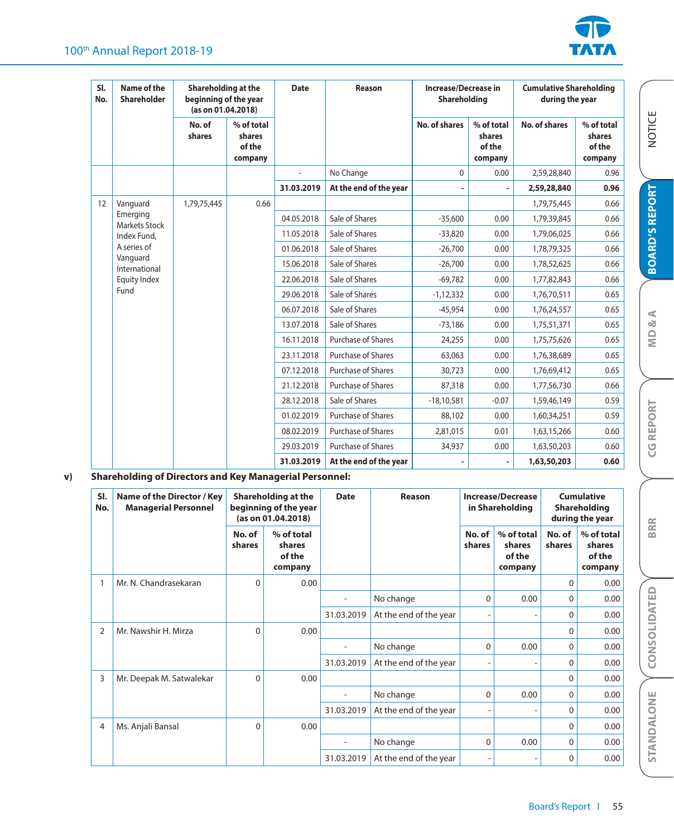

| SI.<br>No. | Name of the<br>Shareholder | Shareholding at the<br>beginning of the year<br>(as on 01.04.2018) |                                           | Date       | Reason                 | <b>Increase/Decrease in</b><br><b>Shareholding</b> |                                           | <b>Cumulative Shareholding</b><br>during the year |                                           |             |      |  |  |  |  |  |  |  |  |  |  |  |            |                |              |         |             |      |
|------------|----------------------------|--------------------------------------------------------------------|-------------------------------------------|------------|------------------------|----------------------------------------------------|-------------------------------------------|---------------------------------------------------|-------------------------------------------|-------------|------|--|--|--|--|--|--|--|--|--|--|--|------------|----------------|--------------|---------|-------------|------|
|            |                            | No. of<br>shares                                                   | % of total<br>shares<br>of the<br>company |            |                        | No. of shares                                      | % of total<br>shares<br>of the<br>company | <b>No. of shares</b>                              | % of total<br>shares<br>of the<br>company |             |      |  |  |  |  |  |  |  |  |  |  |  |            |                |              |         |             |      |
|            |                            |                                                                    |                                           |            | No Change              | $\mathbf{0}$                                       | 0.00                                      | 2,59,28,840                                       | 0.96                                      |             |      |  |  |  |  |  |  |  |  |  |  |  |            |                |              |         |             |      |
|            |                            |                                                                    |                                           | 31.03.2019 | At the end of the year |                                                    |                                           | 2,59,28,840                                       | 0.96                                      |             |      |  |  |  |  |  |  |  |  |  |  |  |            |                |              |         |             |      |
| 12         | Vanguard                   | 1,79,75,445                                                        | 0.66                                      |            |                        |                                                    |                                           | 1,79,75,445                                       | 0.66                                      |             |      |  |  |  |  |  |  |  |  |  |  |  |            |                |              |         |             |      |
|            | Emerging<br>Markets Stock  |                                                                    |                                           | 04.05.2018 | Sale of Shares         | $-35,600$                                          | 0.00                                      | 1,79,39,845                                       | 0.66                                      |             |      |  |  |  |  |  |  |  |  |  |  |  |            |                |              |         |             |      |
|            | Index Fund,                |                                                                    |                                           | 11.05.2018 | Sale of Shares         | $-33,820$                                          | 0.00                                      | 1,79,06,025                                       | 0.66                                      |             |      |  |  |  |  |  |  |  |  |  |  |  |            |                |              |         |             |      |
|            | A series of                |                                                                    |                                           | 01.06.2018 | Sale of Shares         | $-26,700$                                          | 0.00                                      | 1,78,79,325                                       | 0.66                                      |             |      |  |  |  |  |  |  |  |  |  |  |  |            |                |              |         |             |      |
|            | Vanguard<br>International  |                                                                    |                                           | 15.06.2018 | Sale of Shares         | $-26,700$                                          | 0.00                                      | 1,78,52,625                                       | 0.66                                      |             |      |  |  |  |  |  |  |  |  |  |  |  |            |                |              |         |             |      |
|            | Equity Index               |                                                                    |                                           | 22.06.2018 | Sale of Shares         | $-69,782$                                          | 0.00                                      | 1,77,82,843                                       | 0.66                                      |             |      |  |  |  |  |  |  |  |  |  |  |  |            |                |              |         |             |      |
|            | Fund                       |                                                                    |                                           | 29.06.2018 | Sale of Shares         | $-1,12,332$                                        | 0.00                                      | 1,76,70,511                                       | 0.65                                      |             |      |  |  |  |  |  |  |  |  |  |  |  |            |                |              |         |             |      |
|            |                            |                                                                    |                                           | 06.07.2018 | Sale of Shares         | $-45.954$                                          | 0.00                                      | 1,76,24,557                                       | 0.65                                      |             |      |  |  |  |  |  |  |  |  |  |  |  |            |                |              |         |             |      |
|            |                            |                                                                    |                                           | 13.07.2018 | Sale of Shares         | $-73,186$                                          | 0.00                                      | 1,75,51,371                                       | 0.65                                      |             |      |  |  |  |  |  |  |  |  |  |  |  |            |                |              |         |             |      |
|            |                            |                                                                    |                                           | 16.11.2018 | Purchase of Shares     | 24,255                                             | 0.00                                      | 1,75,75,626                                       | 0.65                                      |             |      |  |  |  |  |  |  |  |  |  |  |  |            |                |              |         |             |      |
|            |                            |                                                                    |                                           | 23.11.2018 | Purchase of Shares     | 63,063                                             | 0.00                                      | 1,76,38,689                                       | 0.65                                      |             |      |  |  |  |  |  |  |  |  |  |  |  |            |                |              |         |             |      |
|            |                            |                                                                    |                                           | 07.12.2018 | Purchase of Shares     | 30,723                                             | 0.00                                      | 1,76,69,412                                       | 0.65                                      |             |      |  |  |  |  |  |  |  |  |  |  |  |            |                |              |         |             |      |
|            |                            |                                                                    |                                           | 21.12.2018 | Purchase of Shares     | 87,318                                             | 0.00                                      | 1,77,56,730                                       | 0.66                                      |             |      |  |  |  |  |  |  |  |  |  |  |  |            |                |              |         |             |      |
|            |                            |                                                                    |                                           |            |                        |                                                    |                                           |                                                   |                                           |             |      |  |  |  |  |  |  |  |  |  |  |  | 28.12.2018 | Sale of Shares | $-18,10,581$ | $-0.07$ | 1,59,46,149 | 0.59 |
|            |                            |                                                                    |                                           | 01.02.2019 | Purchase of Shares     | 88,102                                             | 0.00                                      | 1,60,34,251                                       | 0.59                                      |             |      |  |  |  |  |  |  |  |  |  |  |  |            |                |              |         |             |      |
|            |                            |                                                                    |                                           |            |                        | 08.02.2019                                         | <b>Purchase of Shares</b>                 | 2,81,015                                          | 0.01                                      | 1,63,15,266 | 0.60 |  |  |  |  |  |  |  |  |  |  |  |            |                |              |         |             |      |
|            |                            |                                                                    |                                           | 29.03.2019 | Purchase of Shares     | 34,937                                             | 0.00                                      | 1,63,50,203                                       | 0.60                                      |             |      |  |  |  |  |  |  |  |  |  |  |  |            |                |              |         |             |      |
|            |                            |                                                                    |                                           | 31.03.2019 | At the end of the year |                                                    |                                           | 1,63,50,203                                       | 0.60                                      |             |      |  |  |  |  |  |  |  |  |  |  |  |            |                |              |         |             |      |

## **v) Shareholding of Directors and Key Managerial Personnel:**

| SI.<br>No.     | Name of the Director / Key<br><b>Managerial Personnel</b> |                  | Shareholding at the<br>beginning of the year<br>(as on 01.04.2018) | <b>Date</b> | Reason                 |                  | <b>Increase/Decrease</b><br>in Shareholding |                  | Cumulative<br>Shareholding<br>during the year |  |
|----------------|-----------------------------------------------------------|------------------|--------------------------------------------------------------------|-------------|------------------------|------------------|---------------------------------------------|------------------|-----------------------------------------------|--|
|                |                                                           | No. of<br>shares | % of total<br>shares<br>of the<br>company                          |             |                        | No. of<br>shares | % of total<br>shares<br>of the<br>company   | No. of<br>shares | % of total<br>shares<br>of the<br>company     |  |
| 1              | Mr. N. Chandrasekaran                                     | $\Omega$         | 0.00                                                               |             |                        |                  |                                             | $\Omega$         | 0.00                                          |  |
|                |                                                           |                  |                                                                    |             | No change              | 0                | 0.00                                        | $\Omega$         | 0.00                                          |  |
|                |                                                           |                  |                                                                    | 31.03.2019  | At the end of the year |                  |                                             | $\Omega$         | 0.00                                          |  |
| $\overline{2}$ | Mr. Nawshir H. Mirza                                      | 0                | 0.00                                                               |             |                        |                  |                                             | $\Omega$         | 0.00                                          |  |
|                |                                                           |                  |                                                                    | ٠           | No change              | 0                | 0.00                                        | $\Omega$         | 0.00                                          |  |
|                |                                                           |                  |                                                                    | 31.03.2019  | At the end of the year |                  |                                             | $\Omega$         | 0.00                                          |  |
| 3              | Mr. Deepak M. Satwalekar                                  | $\Omega$         | 0.00                                                               |             |                        |                  |                                             | $\Omega$         | 0.00                                          |  |
|                |                                                           |                  |                                                                    |             | No change              | $\Omega$         | 0.00                                        | $\Omega$         | 0.00                                          |  |
|                |                                                           |                  |                                                                    | 31.03.2019  | At the end of the year |                  |                                             | $\mathbf 0$      | 0.00                                          |  |
| 4              | Ms. Anjali Bansal                                         | 0                | 0.00                                                               |             |                        |                  |                                             | $\Omega$         | 0.00                                          |  |
|                |                                                           |                  |                                                                    |             | No change              | $\Omega$         | 0.00                                        | $\Omega$         | 0.00                                          |  |
|                |                                                           |                  |                                                                    | 31.03.2019  | At the end of the year |                  |                                             | $\mathbf{0}$     | 0.00                                          |  |

**BRR**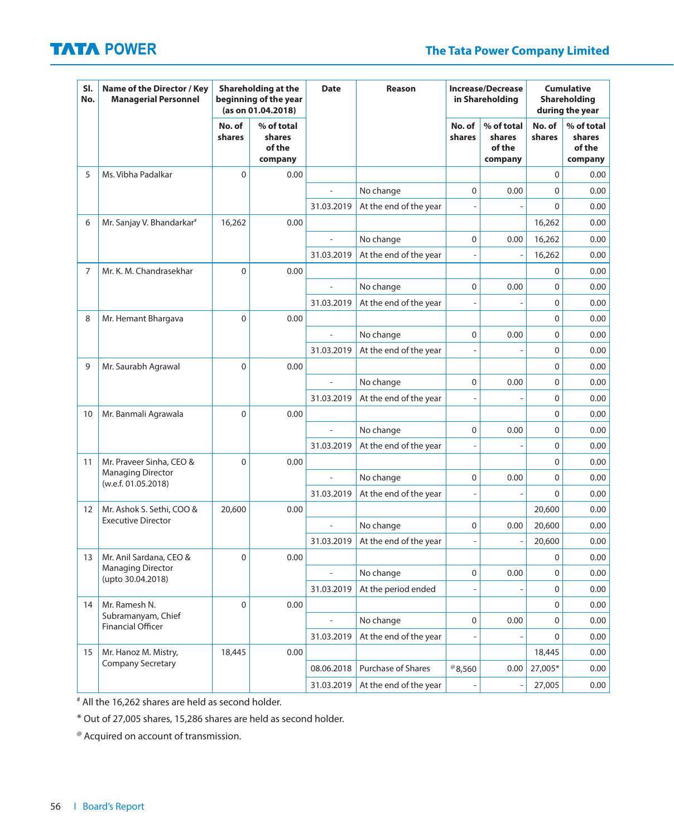| SI.<br>No.        | Name of the Director / Key<br><b>Managerial Personnel</b> |                  | Shareholding at the<br>beginning of the year<br>(as on 01.04.2018) | <b>Date</b>              | Reason                 | <b>Increase/Decrease</b><br>in Shareholding |                                           | <b>Cumulative</b><br>Shareholding<br>during the year |                                           |
|-------------------|-----------------------------------------------------------|------------------|--------------------------------------------------------------------|--------------------------|------------------------|---------------------------------------------|-------------------------------------------|------------------------------------------------------|-------------------------------------------|
|                   |                                                           | No. of<br>shares | % of total<br>shares<br>of the<br>company                          |                          |                        | No. of<br>shares                            | % of total<br>shares<br>of the<br>company | No. of<br>shares                                     | % of total<br>shares<br>of the<br>company |
| 5                 | Ms. Vibha Padalkar                                        | $\mathbf{0}$     | 0.00                                                               |                          |                        |                                             |                                           | 0                                                    | 0.00                                      |
|                   |                                                           |                  |                                                                    | ÷,                       | No change              | 0                                           | 0.00                                      | 0                                                    | 0.00                                      |
|                   |                                                           |                  |                                                                    | 31.03.2019               | At the end of the year |                                             |                                           | 0                                                    | 0.00                                      |
| 6                 | Mr. Sanjay V. Bhandarkar <sup>#</sup>                     | 16,262           | 0.00                                                               |                          |                        |                                             |                                           | 16,262                                               | 0.00                                      |
|                   |                                                           |                  |                                                                    | $\overline{a}$           | No change              | $\mathbf 0$                                 | 0.00                                      | 16,262                                               | 0.00                                      |
|                   |                                                           |                  |                                                                    | 31.03.2019               | At the end of the year |                                             |                                           | 16,262                                               | 0.00                                      |
| 7                 | Mr. K. M. Chandrasekhar                                   | 0                | 0.00                                                               |                          |                        |                                             |                                           | 0                                                    | 0.00                                      |
|                   |                                                           |                  |                                                                    | Ĭ.                       | No change              | 0                                           | 0.00                                      | 0                                                    | 0.00                                      |
|                   |                                                           |                  |                                                                    | 31.03.2019               | At the end of the year |                                             |                                           | 0                                                    | 0.00                                      |
| 8                 | Mr. Hemant Bhargava                                       | $\overline{0}$   | 0.00                                                               |                          |                        |                                             |                                           | 0                                                    | 0.00                                      |
|                   |                                                           |                  |                                                                    | $\overline{a}$           | No change              | $\mathbf 0$                                 | 0.00                                      | 0                                                    | 0.00                                      |
|                   |                                                           |                  |                                                                    | 31.03.2019               | At the end of the year |                                             |                                           | 0                                                    | 0.00                                      |
| 9                 | Mr. Saurabh Agrawal                                       | 0                | 0.00                                                               |                          |                        |                                             |                                           | 0                                                    | 0.00                                      |
|                   |                                                           |                  |                                                                    | Ĭ.                       | No change              | 0                                           | 0.00                                      | 0                                                    | 0.00                                      |
|                   |                                                           |                  |                                                                    | 31.03.2019               | At the end of the year |                                             |                                           | 0                                                    | 0.00                                      |
| 10                | Mr. Banmali Agrawala                                      | $\overline{0}$   | 0.00                                                               |                          |                        |                                             |                                           | 0                                                    | 0.00                                      |
|                   |                                                           |                  |                                                                    | $\overline{a}$           | No change              | $\mathbf 0$                                 | 0.00                                      | 0                                                    | 0.00                                      |
|                   |                                                           |                  |                                                                    | 31.03.2019               | At the end of the year |                                             |                                           | 0                                                    | 0.00                                      |
| 11                | Mr. Praveer Sinha, CEO &                                  | 0                | 0.00                                                               |                          |                        |                                             |                                           | 0                                                    | 0.00                                      |
|                   | <b>Managing Director</b><br>(w.e.f. 01.05.2018)           |                  |                                                                    | L,                       | No change              | 0                                           | 0.00                                      | 0                                                    | 0.00                                      |
|                   |                                                           |                  |                                                                    | 31.03.2019               | At the end of the year |                                             |                                           | 0                                                    | 0.00                                      |
| $12 \overline{ }$ | Mr. Ashok S. Sethi, COO &                                 | 20,600           | 0.00                                                               |                          |                        |                                             |                                           | 20,600                                               | 0.00                                      |
|                   | <b>Executive Director</b>                                 |                  |                                                                    | $\overline{a}$           | No change              | $\mathbf 0$                                 | 0.00                                      | 20,600                                               | 0.00                                      |
|                   |                                                           |                  |                                                                    | 31.03.2019               | At the end of the year |                                             |                                           | 20,600                                               | 0.00                                      |
| 13                | Mr. Anil Sardana, CEO &                                   | 0                | 0.00                                                               |                          |                        |                                             |                                           | 0                                                    | 0.00                                      |
|                   | <b>Managing Director</b><br>(upto 30.04.2018)             |                  |                                                                    |                          | No change              | $\mathbf 0$                                 | 0.00                                      | 0                                                    | 0.00                                      |
|                   |                                                           |                  |                                                                    | 31.03.2019               | At the period ended    |                                             |                                           | 0                                                    | 0.00                                      |
| 14                | Mr. Ramesh N.                                             | 0                | 0.00                                                               |                          |                        |                                             |                                           | 0                                                    | 0.00                                      |
|                   | Subramanyam, Chief<br><b>Financial Officer</b>            |                  |                                                                    | $\overline{\phantom{a}}$ | No change              | $\mathbf 0$                                 | 0.00                                      | 0                                                    | 0.00                                      |
|                   |                                                           |                  |                                                                    | 31.03.2019               | At the end of the year |                                             |                                           | 0                                                    | 0.00                                      |
| 15                | Mr. Hanoz M. Mistry,                                      | 18,445           | 0.00                                                               |                          |                        |                                             |                                           | 18,445                                               | 0.00                                      |
|                   | <b>Company Secretary</b>                                  |                  |                                                                    | 08.06.2018               | Purchase of Shares     | $^{\circ}8,560$                             | 0.00                                      | 27,005*                                              | 0.00                                      |
|                   |                                                           |                  |                                                                    | 31.03.2019               | At the end of the year |                                             |                                           | 27,005                                               | 0.00                                      |

# All the 16,262 shares are held as second holder.

\* Out of 27,005 shares, 15,286 shares are held as second holder.

@ Acquired on account of transmission.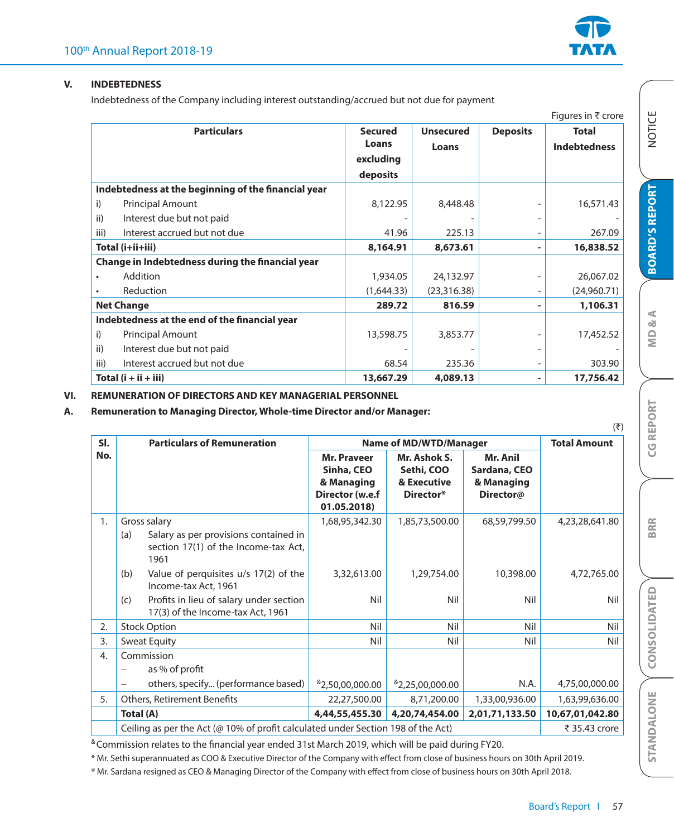

'JHVSFTJO͎DSPSF

#### **V. INDEBTEDNESS**

Indebtedness of the Company including interest outstanding/accrued but not due for payment

|      |                                                     |                |                  |                          | <b>Figures III &amp; Croip</b> |
|------|-----------------------------------------------------|----------------|------------------|--------------------------|--------------------------------|
|      | <b>Particulars</b>                                  | <b>Secured</b> | <b>Unsecured</b> | <b>Deposits</b>          | <b>Total</b>                   |
|      |                                                     | Loans          | Loans            |                          | <b>Indebtedness</b>            |
|      |                                                     | excluding      |                  |                          |                                |
|      |                                                     | deposits       |                  |                          |                                |
|      | Indebtedness at the beginning of the financial year |                |                  |                          |                                |
| i)   | <b>Principal Amount</b>                             | 8,122.95       | 8,448.48         |                          | 16,571.43                      |
| ii)  | Interest due but not paid                           |                |                  |                          |                                |
| iii) | Interest accrued but not due                        | 41.96          | 225.13           |                          | 267.09                         |
|      | Total (i+ii+iii)                                    | 8,164.91       | 8,673.61         | ۰                        | 16,838.52                      |
|      | Change in Indebtedness during the financial year    |                |                  |                          |                                |
|      | Addition                                            | 1,934.05       | 24,132.97        |                          | 26,067.02                      |
|      | Reduction                                           | (1,644.33)     | (23,316.38)      | $\qquad \qquad -$        | (24,960.71)                    |
|      | <b>Net Change</b>                                   | 289.72         | 816.59           |                          | 1,106.31                       |
|      | Indebtedness at the end of the financial year       |                |                  |                          |                                |
| i)   | <b>Principal Amount</b>                             | 13,598.75      | 3,853.77         |                          | 17,452.52                      |
| ii)  | Interest due but not paid                           |                |                  | $\overline{\phantom{a}}$ |                                |
| iii) | Interest accrued but not due                        | 68.54          | 235.36           | $\overline{\phantom{a}}$ | 303.90                         |
|      | Total $(i + ii + iii)$                              | 13,667.29      | 4,089.13         |                          | 17,756.42                      |

### **VI. REMUNERATION OF DIRECTORS AND KEY MANAGERIAL PERSONNEL**

**A. Remuneration to Managing Director, Whole-time Director and/or Manager:**

|                  |                                                                                                              |                                                                                  |                                                        |                                                     | $(\overline{\xi})$  |
|------------------|--------------------------------------------------------------------------------------------------------------|----------------------------------------------------------------------------------|--------------------------------------------------------|-----------------------------------------------------|---------------------|
| SI.              | <b>Particulars of Remuneration</b>                                                                           |                                                                                  | <b>Name of MD/WTD/Manager</b>                          |                                                     | <b>Total Amount</b> |
| No.              |                                                                                                              | <b>Mr. Praveer</b><br>Sinha, CEO<br>& Managing<br>Director (w.e.f<br>01.05.2018) | Mr. Ashok S.<br>Sethi, COO<br>& Executive<br>Director* | Mr. Anil<br>Sardana, CEO<br>& Managing<br>Director@ |                     |
| 1.               | Gross salary<br>(a)<br>Salary as per provisions contained in<br>section 17(1) of the Income-tax Act,<br>1961 | 1,68,95,342.30                                                                   | 1,85,73,500.00                                         | 68,59,799.50                                        | 4,23,28,641.80      |
|                  | Value of perquisites u/s 17(2) of the<br>(b)<br>Income-tax Act, 1961                                         | 3,32,613.00                                                                      | 1,29,754.00                                            | 10,398.00                                           | 4,72,765.00         |
|                  | Profits in lieu of salary under section<br>(c)<br>17(3) of the Income-tax Act, 1961                          | Nil                                                                              | Nil                                                    | Nil                                                 | Nil                 |
| 2.               | <b>Stock Option</b>                                                                                          | Nil                                                                              | Nil                                                    | Nil                                                 | Nil                 |
| $\overline{3}$ . | <b>Sweat Equity</b>                                                                                          | Nil                                                                              | Nil                                                    | Nil                                                 | Nil                 |
| 4.               | Commission<br>as % of profit                                                                                 |                                                                                  |                                                        |                                                     |                     |
|                  | others, specify (performance based)<br>$\overline{\phantom{m}}$                                              | 82,50,00,000.00                                                                  | 82,25,00,000.00                                        | N.A.                                                | 4,75,00,000.00      |
| 5.               | <b>Others, Retirement Benefits</b>                                                                           | 22,27,500.00                                                                     | 8,71,200.00                                            | 1,33,00,936.00                                      | 1,63,99,636.00      |
|                  | Total (A)                                                                                                    | 4,44,55,455.30                                                                   | 4,20,74,454.00                                         | 2,01,71,133.50                                      | 10,67,01,042.80     |
|                  | Ceiling as per the Act (@ 10% of profit calculated under Section 198 of the Act)                             |                                                                                  | ₹ 35.43 crore                                          |                                                     |                     |

<sup>&</sup> Commission relates to the financial year ended 31st March 2019, which will be paid during FY20.

\* Mr. Sethi superannuated as COO & Executive Director of the Company with effect from close of business hours on 30th April 2019.

<sup>®</sup> Mr. Sardana resigned as CEO & Managing Director of the Company with effect from close of business hours on 30th April 2018.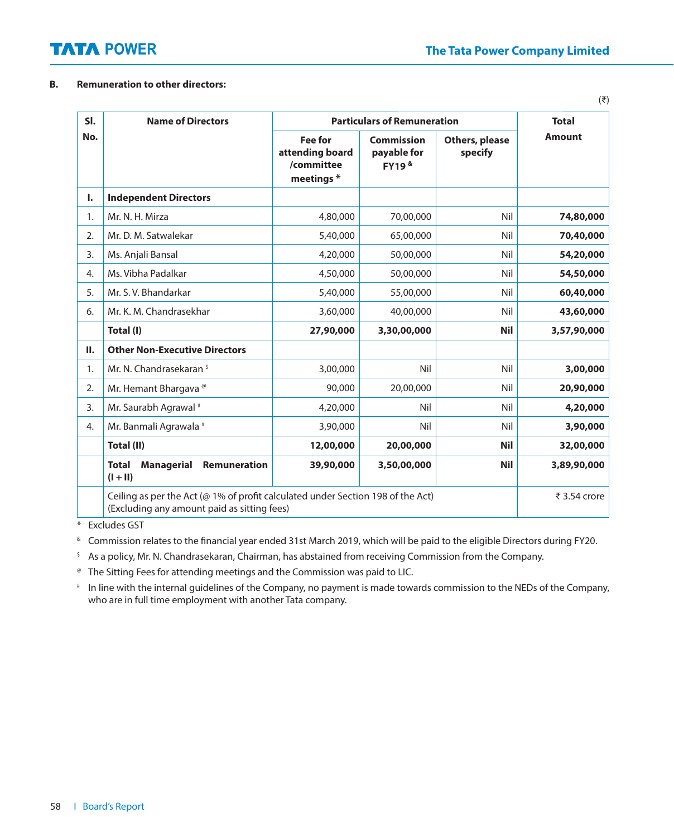### **B. Remuneration to other directors:**

| SI. | <b>Name of Directors</b>                                                                                                       |                                                               | <b>Particulars of Remuneration</b>                 |                           | <b>Total</b>  |  |
|-----|--------------------------------------------------------------------------------------------------------------------------------|---------------------------------------------------------------|----------------------------------------------------|---------------------------|---------------|--|
| No. |                                                                                                                                | <b>Fee for</b><br>attending board<br>/committee<br>meetings * | Commission<br>payable for<br>FY19 <sup>&amp;</sup> | Others, please<br>specify | <b>Amount</b> |  |
| I.  | <b>Independent Directors</b>                                                                                                   |                                                               |                                                    |                           |               |  |
| 1.  | Mr. N. H. Mirza                                                                                                                | 4,80,000                                                      | 70,00,000                                          | Nil                       | 74,80,000     |  |
| 2.  | Mr. D. M. Satwalekar                                                                                                           | 5,40,000                                                      | 65,00,000                                          | Nil                       | 70,40,000     |  |
| 3.  | Ms. Anjali Bansal                                                                                                              | 4,20,000                                                      | 50,00,000                                          | Nil                       | 54,20,000     |  |
| 4.  | Ms. Vibha Padalkar                                                                                                             | 4,50,000                                                      | 50,00,000                                          | Nil                       | 54,50,000     |  |
| 5.  | Mr. S. V. Bhandarkar                                                                                                           | 5,40,000                                                      | 55,00,000                                          | Nil                       | 60,40,000     |  |
| 6.  | Mr. K. M. Chandrasekhar                                                                                                        | 3,60,000                                                      | 40,00,000                                          | Nil                       | 43,60,000     |  |
|     | Total (I)                                                                                                                      | 27,90,000                                                     | 3,30,00,000                                        | <b>Nil</b>                | 3,57,90,000   |  |
| П.  | <b>Other Non-Executive Directors</b>                                                                                           |                                                               |                                                    |                           |               |  |
| 1.  | Mr. N. Chandrasekaran <sup>\$</sup>                                                                                            | 3,00,000                                                      | Nil                                                | Nil                       | 3,00,000      |  |
| 2.  | Mr. Hemant Bhargava <sup>®</sup>                                                                                               | 90,000                                                        | 20,00,000                                          | Nil                       | 20,90,000     |  |
| 3.  | Mr. Saurabh Agrawal #                                                                                                          | 4,20,000                                                      | Nil                                                | Nil                       | 4,20,000      |  |
| 4.  | Mr. Banmali Agrawala #                                                                                                         | 3,90,000                                                      | Nil                                                | Nil                       | 3,90,000      |  |
|     | Total (II)                                                                                                                     | 12,00,000                                                     | 20,00,000                                          | <b>Nil</b>                | 32,00,000     |  |
|     | <b>Total</b><br><b>Managerial</b><br><b>Remuneration</b><br>$(I + II)$                                                         | 39,90,000                                                     | 3,50,00,000                                        | <b>Nil</b>                | 3,89,90,000   |  |
|     | Ceiling as per the Act (@ 1% of profit calculated under Section 198 of the Act)<br>(Excluding any amount paid as sitting fees) |                                                               | ₹ 3.54 crore                                       |                           |               |  |

\* Excludes GST

<sup>&</sup> Commission relates to the financial year ended 31st March 2019, which will be paid to the eligible Directors during FY20.

<sup>5</sup> As a policy, Mr. N. Chandrasekaran, Chairman, has abstained from receiving Commission from the Company.

@ The Sitting Fees for attending meetings and the Commission was paid to LIC.

# In line with the internal guidelines of the Company, no payment is made towards commission to the NEDs of the Company, who are in full time employment with another Tata company.